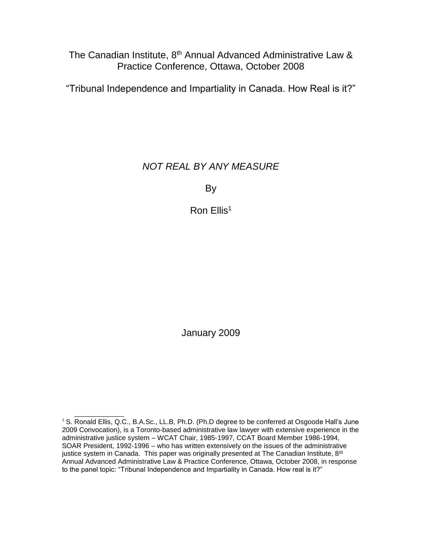The Canadian Institute, 8<sup>th</sup> Annual Advanced Administrative Law & Practice Conference, Ottawa, October 2008

"Tribunal Independence and Impartiality in Canada. How Real is it?"

# *NOT REAL BY ANY MEASURE*

By

Ron Ellis<sup>1</sup>

January 2009

 $1$  S. Ronald Ellis, Q.C., B.A.Sc., LL.B, Ph.D. (Ph.D degree to be conferred at Osgoode Hall's June 2009 Convocation), is a Toronto-based administrative law lawyer with extensive experience in the administrative justice system – WCAT Chair, 1985-1997, CCAT Board Member 1986-1994, SOAR President, 1992-1996 – who has written extensively on the issues of the administrative justice system in Canada. This paper was originally presented at The Canadian Institute, 8<sup>th</sup> Annual Advanced Administrative Law & Practice Conference, Ottawa, October 2008, in response to the panel topic: "Tribunal Independence and Impartiality in Canada. How real is it?"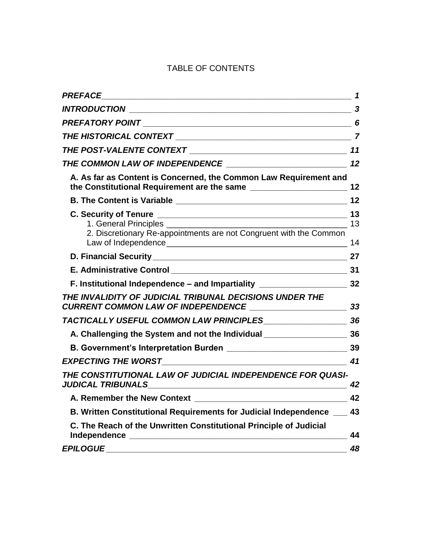# TABLE OF CONTENTS

|                                                                                                                                                 | $\mathbf 1$ |
|-------------------------------------------------------------------------------------------------------------------------------------------------|-------------|
|                                                                                                                                                 |             |
|                                                                                                                                                 | 6           |
|                                                                                                                                                 |             |
|                                                                                                                                                 |             |
|                                                                                                                                                 |             |
| A. As far as Content is Concerned, the Common Law Requirement and                                                                               |             |
|                                                                                                                                                 | 12          |
| 2. Discretionary Re-appointments are not Congruent with the Common                                                                              | 14          |
|                                                                                                                                                 |             |
|                                                                                                                                                 |             |
| F. Institutional Independence - and Impartiality _____________________________32                                                                |             |
| THE INVALIDITY OF JUDICIAL TRIBUNAL DECISIONS UNDER THE<br>$\begin{array}{c c} \hline \end{array}$<br><b>CURRENT COMMON LAW OF INDEPENDENCE</b> |             |
|                                                                                                                                                 |             |
|                                                                                                                                                 |             |
|                                                                                                                                                 |             |
|                                                                                                                                                 |             |
| THE CONSTITUTIONAL LAW OF JUDICIAL INDEPENDENCE FOR QUASI-                                                                                      | 42          |
| A. Remember the New Context                                                                                                                     | 42          |
| B. Written Constitutional Requirements for Judicial Independence ___                                                                            | 43          |
| C. The Reach of the Unwritten Constitutional Principle of Judicial                                                                              | 44          |
| <b>EPILOGUE</b>                                                                                                                                 | 48          |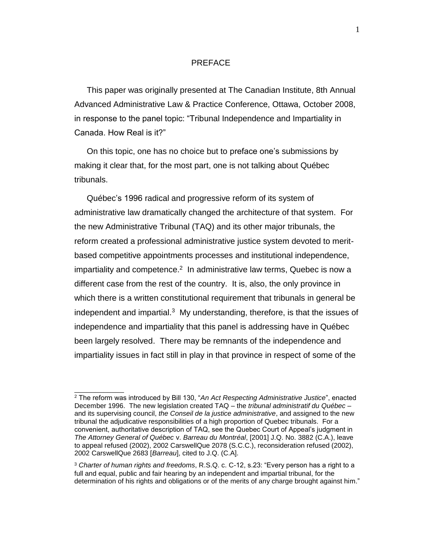## PREFACE

<span id="page-2-0"></span>This paper was originally presented at The Canadian Institute, 8th Annual Advanced Administrative Law & Practice Conference, Ottawa, October 2008, in response to the panel topic: "Tribunal Independence and Impartiality in Canada. How Real is it?"

On this topic, one has no choice but to preface one's submissions by making it clear that, for the most part, one is not talking about Québec tribunals.

<span id="page-2-1"></span>Québec's 1996 radical and progressive reform of its system of administrative law dramatically changed the architecture of that system. For the new Administrative Tribunal (TAQ) and its other major tribunals, the reform created a professional administrative justice system devoted to meritbased competitive appointments processes and institutional independence, impartiality and competence. $2$  In administrative law terms, Quebec is now a different case from the rest of the country. It is, also, the only province in which there is a written constitutional requirement that tribunals in general be independent and impartial.<sup>3</sup> My understanding, therefore, is that the issues of independence and impartiality that this panel is addressing have in Québec been largely resolved. There may be remnants of the independence and impartiality issues in fact still in play in that province in respect of some of the

<sup>2</sup> The reform was introduced by Bill 130, "*An Act Respecting Administrative Justice*", enacted December 1996. The new legislation created TAQ – the *tribunal administratif du Québec* – and its supervising council, *the Conseil de la justice administrative*, and assigned to the new tribunal the adjudicative responsibilities of a high proportion of Quebec tribunals. For a convenient, authoritative description of TAQ, see the Quebec Court of Appeal's judgment in *The Attorney General of Québec* v. *Barreau du Montréal*, [2001] J.Q. No. 3882 (C.A.), leave to appeal refused (2002), 2002 CarswellQue 2078 (S.C.C.), reconsideration refused (2002), 2002 CarswellQue 2683 [*Barreau*], cited to J.Q. (C.A].

<sup>3</sup> *Charter of human rights and freedoms*, R.S.Q. c. C-12, s.23: "Every person has a right to a full and equal, public and fair hearing by an independent and impartial tribunal, for the determination of his rights and obligations or of the merits of any charge brought against him."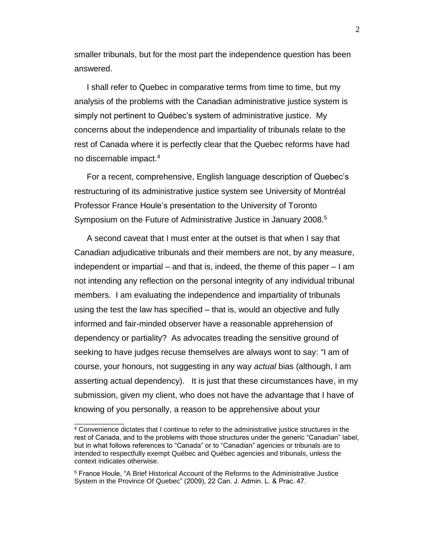smaller tribunals, but for the most part the independence question has been answered.

I shall refer to Quebec in comparative terms from time to time, but my analysis of the problems with the Canadian administrative justice system is simply not pertinent to Québec's system of administrative justice. My concerns about the independence and impartiality of tribunals relate to the rest of Canada where it is perfectly clear that the Quebec reforms have had no discernable impact.<sup>4</sup>

For a recent, comprehensive, English language description of Quebec's restructuring of its administrative justice system see University of Montréal Professor France Houle's presentation to the University of Toronto Symposium on the Future of Administrative Justice in January 2008.<sup>5</sup>

A second caveat that I must enter at the outset is that when I say that Canadian adjudicative tribunals and their members are not, by any measure, independent or impartial – and that is, indeed, the theme of this paper – I am not intending any reflection on the personal integrity of any individual tribunal members. I am evaluating the independence and impartiality of tribunals using the test the law has specified – that is, would an objective and fully informed and fair-minded observer have a reasonable apprehension of dependency or partiality? As advocates treading the sensitive ground of seeking to have judges recuse themselves are always wont to say: "I am of course, your honours, not suggesting in any way *actual* bias (although, I am asserting actual dependency). It is just that these circumstances have, in my submission, given my client, who does not have the advantage that I have of knowing of you personally, a reason to be apprehensive about your

<sup>4</sup> Convenience dictates that I continue to refer to the administrative justice structures in the rest of Canada, and to the problems with those structures under the generic "Canadian" label, but in what follows references to "Canada" or to "Canadian" agencies or tribunals are to intended to respectfully exempt Québec and Québec agencies and tribunals, unless the context indicates otherwise.

<sup>5</sup> France Houle, "A Brief Historical Account of the Reforms to the Administrative Justice System in the Province Of Quebec" (2009), 22 Can. J. Admin. L. & Prac. 47.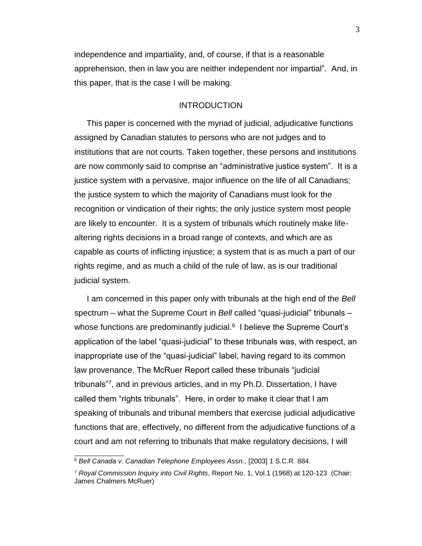independence and impartiality, and, of course, if that is a reasonable apprehension, then in law you are neither independent nor impartial". And, in this paper, that is the case I will be making.

#### INTRODUCTION

<span id="page-4-0"></span>This paper is concerned with the myriad of judicial, adjudicative functions assigned by Canadian statutes to persons who are not judges and to institutions that are not courts. Taken together, these persons and institutions are now commonly said to comprise an "administrative justice system". It is a justice system with a pervasive, major influence on the life of all Canadians; the justice system to which the majority of Canadians must look for the recognition or vindication of their rights; the only justice system most people are likely to encounter. It is a system of tribunals which routinely make lifealtering rights decisions in a broad range of contexts, and which are as capable as courts of inflicting injustice; a system that is as much a part of our rights regime, and as much a child of the rule of law, as is our traditional judicial system.

<span id="page-4-1"></span>I am concerned in this paper only with tribunals at the high end of the *Bell*  spectrum – what the Supreme Court in *Bell* called "quasi-judicial" tribunals – whose functions are predominantly judicial.<sup>6</sup> I believe the Supreme Court's application of the label "quasi-judicial" to these tribunals was, with respect, an inappropriate use of the "quasi-judicial" label, having regard to its common law provenance. The McRuer Report called these tribunals "judicial tribunals"<sup>7</sup> , and in previous articles, and in my Ph.D. Dissertation, I have called them "rights tribunals". Here, in order to make it clear that I am speaking of tribunals and tribunal members that exercise judicial adjudicative functions that are, effectively, no different from the adjudicative functions of a court and am not referring to tribunals that make regulatory decisions, I will

<sup>6</sup> *Bell Canada v. Canadian Telephone Employees Assn.*, [2003] 1 S.C.R. 884.

<sup>7</sup> *Royal Commission Inquiry into Civil Rights*, Report No. 1, Vol.1 (1968) at 120-123 (Chair: James Chalmers McRuer)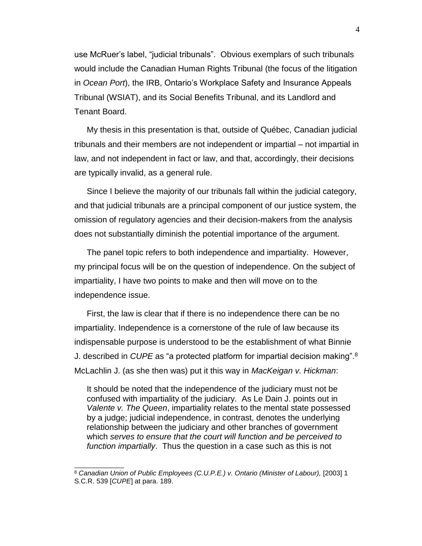use McRuer's label, "judicial tribunals". Obvious exemplars of such tribunals would include the Canadian Human Rights Tribunal (the focus of the litigation in *Ocean Port*), the IRB, Ontario's Workplace Safety and Insurance Appeals Tribunal (WSIAT), and its Social Benefits Tribunal, and its Landlord and Tenant Board.

My thesis in this presentation is that, outside of Québec, Canadian judicial tribunals and their members are not independent or impartial – not impartial in law, and not independent in fact or law, and that, accordingly, their decisions are typically invalid, as a general rule.

Since I believe the majority of our tribunals fall within the judicial category, and that judicial tribunals are a principal component of our justice system, the omission of regulatory agencies and their decision-makers from the analysis does not substantially diminish the potential importance of the argument.

The panel topic refers to both independence and impartiality. However, my principal focus will be on the question of independence. On the subject of impartiality, I have two points to make and then will move on to the independence issue.

First, the law is clear that if there is no independence there can be no impartiality. Independence is a cornerstone of the rule of law because its indispensable purpose is understood to be the establishment of what Binnie J. described in *CUPE* as "a protected platform for impartial decision making".<sup>8</sup> McLachlin J. (as she then was) put it this way in *MacKeigan v. Hickman*:

It should be noted that the independence of the judiciary must not be confused with impartiality of the judiciary. As Le Dain J. points out in *Valente v. The Queen*, impartiality relates to the mental state possessed by a judge; judicial independence, in contrast, denotes the underlying relationship between the judiciary and other branches of government which *serves to ensure that the court will function and be perceived to function impartially*. Thus the question in a case such as this is not

<sup>&</sup>lt;sup>8</sup> Canadian Union of Public Employees (C.U.P.E.) v. Ontario (Minister of Labour), [2003] 1 S.C.R. 539 [*CUPE*] at para. 189.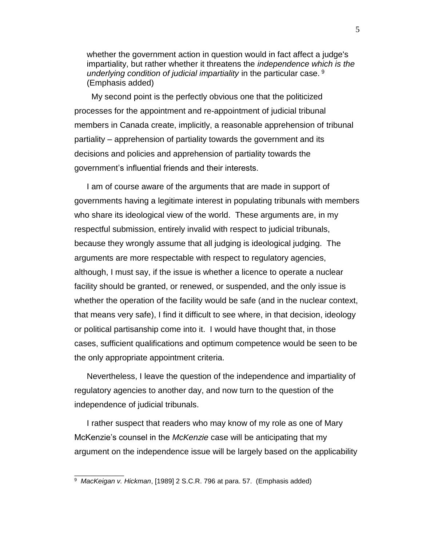whether the government action in question would in fact affect a judge's impartiality, but rather whether it threatens the *independence which is the underlying condition of judicial impartiality* in the particular case. <sup>9</sup> (Emphasis added)

 My second point is the perfectly obvious one that the politicized processes for the appointment and re-appointment of judicial tribunal members in Canada create, implicitly, a reasonable apprehension of tribunal partiality – apprehension of partiality towards the government and its decisions and policies and apprehension of partiality towards the government's influential friends and their interests.

I am of course aware of the arguments that are made in support of governments having a legitimate interest in populating tribunals with members who share its ideological view of the world. These arguments are, in my respectful submission, entirely invalid with respect to judicial tribunals, because they wrongly assume that all judging is ideological judging. The arguments are more respectable with respect to regulatory agencies, although, I must say, if the issue is whether a licence to operate a nuclear facility should be granted, or renewed, or suspended, and the only issue is whether the operation of the facility would be safe (and in the nuclear context, that means very safe), I find it difficult to see where, in that decision, ideology or political partisanship come into it. I would have thought that, in those cases, sufficient qualifications and optimum competence would be seen to be the only appropriate appointment criteria.

Nevertheless, I leave the question of the independence and impartiality of regulatory agencies to another day, and now turn to the question of the independence of judicial tribunals.

I rather suspect that readers who may know of my role as one of Mary McKenzie's counsel in the *McKenzie* case will be anticipating that my argument on the independence issue will be largely based on the applicability

<sup>9</sup> *MacKeigan v. Hickman*, [1989] 2 S.C.R. 796 at para. 57. (Emphasis added)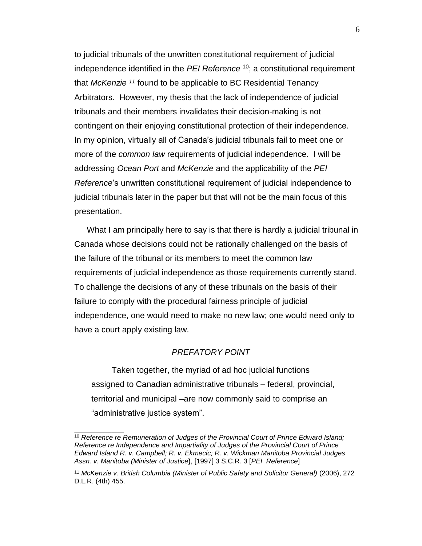<span id="page-7-4"></span><span id="page-7-3"></span><span id="page-7-2"></span><span id="page-7-1"></span>to judicial tribunals of the unwritten constitutional requirement of judicial independence identified in the *PEI Reference* <sup>10</sup>; a constitutional requirement that *McKenzie <sup>11</sup>* found to be applicable to BC Residential Tenancy Arbitrators. However, my thesis that the lack of independence of judicial tribunals and their members invalidates their decision-making is not contingent on their enjoying constitutional protection of their independence. In my opinion, virtually all of Canada's judicial tribunals fail to meet one or more of the *common law* requirements of judicial independence. I will be addressing *Ocean Port* and *McKenzie* and the applicability of the *PEI Reference*'s unwritten constitutional requirement of judicial independence to judicial tribunals later in the paper but that will not be the main focus of this presentation.

What I am principally here to say is that there is hardly a judicial tribunal in Canada whose decisions could not be rationally challenged on the basis of the failure of the tribunal or its members to meet the common law requirements of judicial independence as those requirements currently stand. To challenge the decisions of any of these tribunals on the basis of their failure to comply with the procedural fairness principle of judicial independence, one would need to make no new law; one would need only to have a court apply existing law.

## *PREFATORY POINT*

<span id="page-7-0"></span>Taken together, the myriad of ad hoc judicial functions assigned to Canadian administrative tribunals – federal, provincial, territorial and municipal –are now commonly said to comprise an "administrative justice system".

<sup>10</sup> *Reference re Remuneration of Judges of the Provincial Court of Prince Edward Island; Reference re Independence and Impartiality of Judges of the Provincial Court of Prince Edward Island R. v. Campbell; R. v. Ekmecic; R. v. Wickman Manitoba Provincial Judges Assn. v. Manitoba (Minister of Justice***)**, [1997] 3 S.C.R. 3 [*PEI Reference*]

<sup>&</sup>lt;sup>11</sup> McKenzie v. British Columbia (Minister of Public Safety and Solicitor General) (2006), 272 D.L.R. (4th) 455.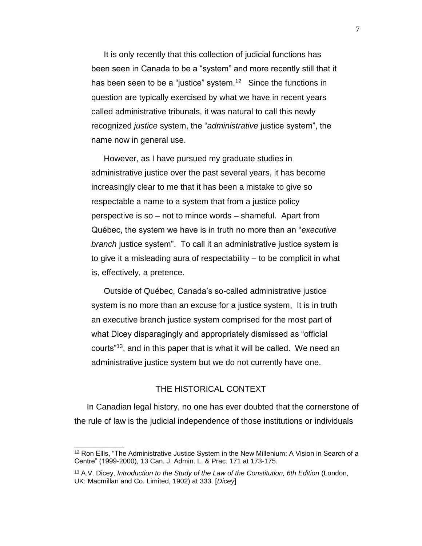It is only recently that this collection of judicial functions has been seen in Canada to be a "system" and more recently still that it has been seen to be a "justice" system.<sup>12</sup> Since the functions in question are typically exercised by what we have in recent years called administrative tribunals, it was natural to call this newly recognized *justice* system, the "*administrative* justice system", the name now in general use.

However, as I have pursued my graduate studies in administrative justice over the past several years, it has become increasingly clear to me that it has been a mistake to give so respectable a name to a system that from a justice policy perspective is so – not to mince words – shameful. Apart from Québec, the system we have is in truth no more than an "*executive branch* justice system". To call it an administrative justice system is to give it a misleading aura of respectability – to be complicit in what is, effectively, a pretence.

Outside of Québec, Canada's so-called administrative justice system is no more than an excuse for a justice system, It is in truth an executive branch justice system comprised for the most part of what Dicey disparagingly and appropriately dismissed as "official courts"<sup>13</sup>, and in this paper that is what it will be called. We need an administrative justice system but we do not currently have one.

#### THE HISTORICAL CONTEXT

<span id="page-8-0"></span>In Canadian legal history, no one has ever doubted that the cornerstone of the rule of law is the judicial independence of those institutions or individuals

<sup>&</sup>lt;sup>12</sup> Ron Ellis. "The Administrative Justice System in the New Millenium: A Vision in Search of a Centre" (1999-2000), 13 Can. J. Admin. L. & Prac. 171 at 173-175.

<sup>13</sup> A.V. Dicey, *Introduction to the Study of the Law of the Constitution, 6th Edition* (London, UK: Macmillan and Co. Limited, 1902) at 333. [*Dicey*]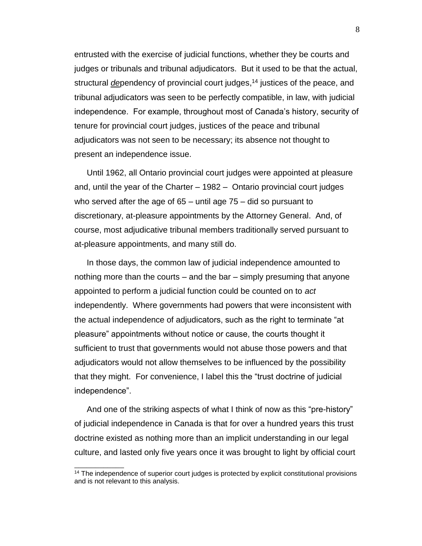entrusted with the exercise of judicial functions, whether they be courts and judges or tribunals and tribunal adjudicators. But it used to be that the actual, structural *de*pendency of provincial court judges, <sup>14</sup> justices of the peace, and tribunal adjudicators was seen to be perfectly compatible, in law, with judicial independence. For example, throughout most of Canada's history, security of tenure for provincial court judges, justices of the peace and tribunal adjudicators was not seen to be necessary; its absence not thought to present an independence issue.

Until 1962, all Ontario provincial court judges were appointed at pleasure and, until the year of the Charter – 1982 – Ontario provincial court judges who served after the age of 65 – until age 75 – did so pursuant to discretionary, at-pleasure appointments by the Attorney General. And, of course, most adjudicative tribunal members traditionally served pursuant to at-pleasure appointments, and many still do.

In those days, the common law of judicial independence amounted to nothing more than the courts – and the bar – simply presuming that anyone appointed to perform a judicial function could be counted on to *act* independently. Where governments had powers that were inconsistent with the actual independence of adjudicators, such as the right to terminate "at pleasure" appointments without notice or cause, the courts thought it sufficient to trust that governments would not abuse those powers and that adjudicators would not allow themselves to be influenced by the possibility that they might. For convenience, I label this the "trust doctrine of judicial independence".

And one of the striking aspects of what I think of now as this "pre-history" of judicial independence in Canada is that for over a hundred years this trust doctrine existed as nothing more than an implicit understanding in our legal culture, and lasted only five years once it was brought to light by official court

 $14$  The independence of superior court judges is protected by explicit constitutional provisions and is not relevant to this analysis.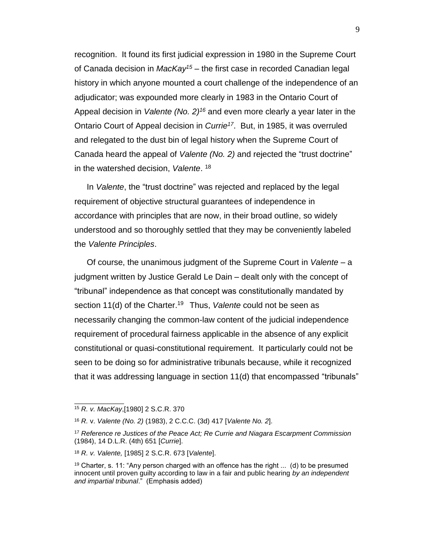<span id="page-10-0"></span>recognition. It found its first judicial expression in 1980 in the Supreme Court of Canada decision in *MacKay<sup>15</sup>* – the first case in recorded Canadian legal history in which anyone mounted a court challenge of the independence of an adjudicator; was expounded more clearly in 1983 in the Ontario Court of Appeal decision in *Valente (No. 2)<sup>16</sup>* and even more clearly a year later in the Ontario Court of Appeal decision in *Currie<sup>17</sup>*. But, in 1985, it was overruled and relegated to the dust bin of legal history when the Supreme Court of Canada heard the appeal of *Valente (No. 2)* and rejected the "trust doctrine" in the watershed decision, *Valente*. 18

<span id="page-10-1"></span>In *Valente*, the "trust doctrine" was rejected and replaced by the legal requirement of objective structural guarantees of independence in accordance with principles that are now, in their broad outline, so widely understood and so thoroughly settled that they may be conveniently labeled the *Valente Principles*.

Of course, the unanimous judgment of the Supreme Court in *Valente* – a judgment written by Justice Gerald Le Dain – dealt only with the concept of "tribunal" independence as that concept was constitutionally mandated by section 11(d) of the Charter.<sup>19</sup> Thus, Valente could not be seen as necessarily changing the common-law content of the judicial independence requirement of procedural fairness applicable in the absence of any explicit constitutional or quasi-constitutional requirement. It particularly could not be seen to be doing so for administrative tribunals because, while it recognized that it was addressing language in section 11(d) that encompassed "tribunals"

<sup>15</sup> *R. v. MacKay*,[1980] 2 S.C.R. 370

<sup>16</sup> *R.* v. *Valente (No. 2)* (1983), 2 C.C.C. (3d) 417 [*Valente No. 2*].

<sup>17</sup> *Reference re Justices of the Peace Act; Re Currie and Niagara Escarpment Commission* (1984), 14 D.L.R. (4th) 651 [*Currie*].

<sup>18</sup> *R. v. Valente,* [1985] 2 S.C.R. 673 [*Valente*].

<sup>&</sup>lt;sup>19</sup> Charter, s. 11: "Any person charged with an offence has the right  $\dots$  (d) to be presumed innocent until proven guilty according to law in a fair and public hearing *by an independent and impartial tribunal*." (Emphasis added)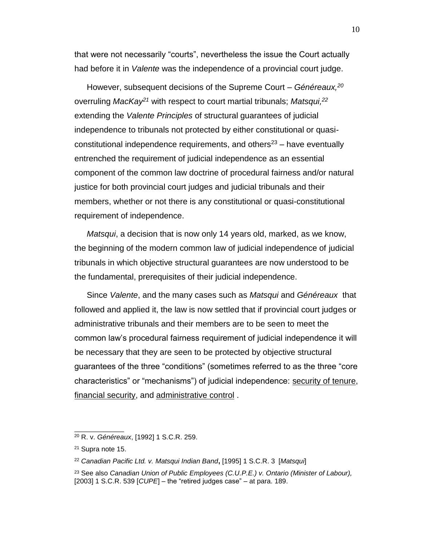that were not necessarily "courts", nevertheless the issue the Court actually had before it in *Valente* was the independence of a provincial court judge.

<span id="page-11-1"></span><span id="page-11-0"></span>However, subsequent decisions of the Supreme Court – *Généreaux,<sup>20</sup>* overruling *MacKay<sup>21</sup>* with respect to court martial tribunals; *Matsqui,<sup>22</sup>* extending the *Valente Principles* of structural guarantees of judicial independence to tribunals not protected by either constitutional or quasiconstitutional independence requirements, and others<sup>23</sup> – have eventually entrenched the requirement of judicial independence as an essential component of the common law doctrine of procedural fairness and/or natural justice for both provincial court judges and judicial tribunals and their members, whether or not there is any constitutional or quasi-constitutional requirement of independence.

*Matsqui*, a decision that is now only 14 years old, marked, as we know, the beginning of the modern common law of judicial independence of judicial tribunals in which objective structural guarantees are now understood to be the fundamental, prerequisites of their judicial independence.

Since *Valente*, and the many cases such as *Matsqui* and *Généreaux* that followed and applied it, the law is now settled that if provincial court judges or administrative tribunals and their members are to be seen to meet the common law's procedural fairness requirement of judicial independence it will be necessary that they are seen to be protected by objective structural guarantees of the three "conditions" (sometimes referred to as the three "core characteristics" or "mechanisms") of judicial independence: security of tenure, financial security, and administrative control .

<sup>20</sup> R. v. *Généreaux*, [1992] 1 S.C.R. 259.

<sup>21</sup> Supra note [15.](#page-10-0)

<sup>22</sup> *Canadian Pacific Ltd. v. Matsqui Indian Band***,** [1995] 1 S.C.R. 3 [*Matsqui*]

<sup>23</sup> See also *Canadian Union of Public Employees (C.U.P.E.) v. Ontario (Minister of Labour),*  [2003] 1 S.C.R. 539 [*CUPE*] – the "retired judges case" – at para. 189.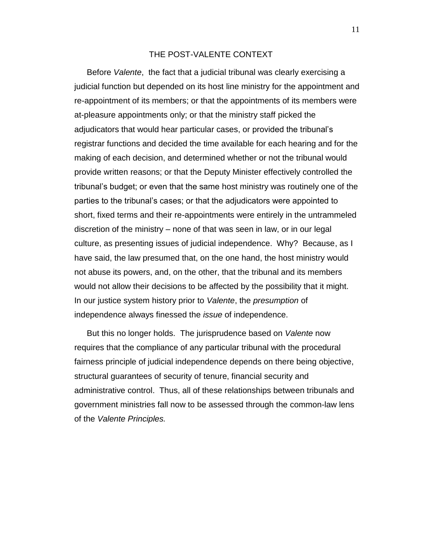# THE POST-VALENTE CONTEXT

<span id="page-12-0"></span>Before *Valente*, the fact that a judicial tribunal was clearly exercising a judicial function but depended on its host line ministry for the appointment and re-appointment of its members; or that the appointments of its members were at-pleasure appointments only; or that the ministry staff picked the adjudicators that would hear particular cases, or provided the tribunal's registrar functions and decided the time available for each hearing and for the making of each decision, and determined whether or not the tribunal would provide written reasons; or that the Deputy Minister effectively controlled the tribunal's budget; or even that the same host ministry was routinely one of the parties to the tribunal's cases; or that the adjudicators were appointed to short, fixed terms and their re-appointments were entirely in the untrammeled discretion of the ministry – none of that was seen in law, or in our legal culture, as presenting issues of judicial independence. Why? Because, as I have said, the law presumed that, on the one hand, the host ministry would not abuse its powers, and, on the other, that the tribunal and its members would not allow their decisions to be affected by the possibility that it might. In our justice system history prior to *Valente*, the *presumption* of independence always finessed the *issue* of independence.

But this no longer holds. The jurisprudence based on *Valente* now requires that the compliance of any particular tribunal with the procedural fairness principle of judicial independence depends on there being objective, structural guarantees of security of tenure, financial security and administrative control. Thus, all of these relationships between tribunals and government ministries fall now to be assessed through the common-law lens of the *Valente Principles.* 

11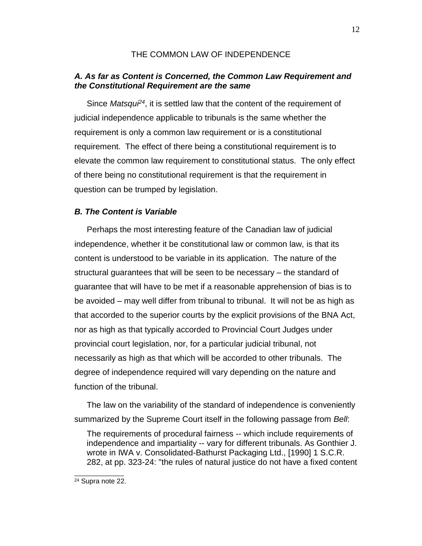# THE COMMON LAW OF INDEPENDENCE

# <span id="page-13-1"></span><span id="page-13-0"></span>*A. As far as Content is Concerned, the Common Law Requirement and the Constitutional Requirement are the same*

Since *Matsqui<sup>24</sup>*, it is settled law that the content of the requirement of judicial independence applicable to tribunals is the same whether the requirement is only a common law requirement or is a constitutional requirement. The effect of there being a constitutional requirement is to elevate the common law requirement to constitutional status. The only effect of there being no constitutional requirement is that the requirement in question can be trumped by legislation.

## <span id="page-13-2"></span>*B. The Content is Variable*

Perhaps the most interesting feature of the Canadian law of judicial independence, whether it be constitutional law or common law, is that its content is understood to be variable in its application. The nature of the structural guarantees that will be seen to be necessary – the standard of guarantee that will have to be met if a reasonable apprehension of bias is to be avoided – may well differ from tribunal to tribunal. It will not be as high as that accorded to the superior courts by the explicit provisions of the BNA Act, nor as high as that typically accorded to Provincial Court Judges under provincial court legislation, nor, for a particular judicial tribunal, not necessarily as high as that which will be accorded to other tribunals. The degree of independence required will vary depending on the nature and function of the tribunal.

The law on the variability of the standard of independence is conveniently summarized by the Supreme Court itself in the following passage from *Bell*:

The requirements of procedural fairness -- which include requirements of independence and impartiality -- vary for different tribunals. As Gonthier J. wrote in IWA v. Consolidated-Bathurst Packaging Ltd., [1990] 1 S.C.R. 282, at pp. 323-24: "the rules of natural justice do not have a fixed content

<sup>24</sup> Supra note [22.](#page-11-0)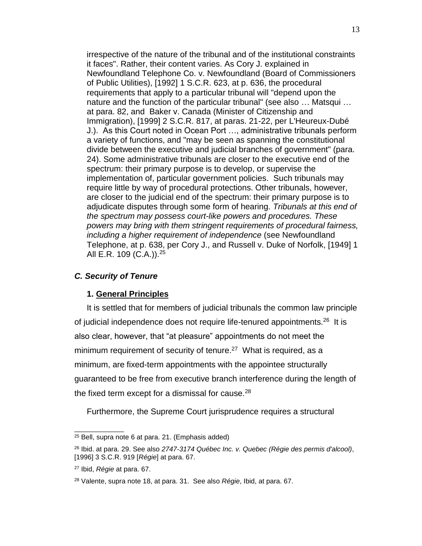irrespective of the nature of the tribunal and of the institutional constraints it faces". Rather, their content varies. As Cory J. explained in Newfoundland Telephone Co. v. Newfoundland (Board of Commissioners of Public Utilities), [1992] 1 S.C.R. 623, at p. 636, the procedural requirements that apply to a particular tribunal will "depend upon the nature and the function of the particular tribunal" (see also … Matsqui … at para. 82, and Baker v. Canada (Minister of Citizenship and Immigration), [1999] 2 S.C.R. 817, at paras. 21-22, per L'Heureux-Dubé J.). As this Court noted in Ocean Port …, administrative tribunals perform a variety of functions, and "may be seen as spanning the constitutional divide between the executive and judicial branches of government" (para. 24). Some administrative tribunals are closer to the executive end of the spectrum: their primary purpose is to develop, or supervise the implementation of, particular government policies. Such tribunals may require little by way of procedural protections. Other tribunals, however, are closer to the judicial end of the spectrum: their primary purpose is to adjudicate disputes through some form of hearing. *Tribunals at this end of the spectrum may possess court-like powers and procedures. These powers may bring with them stringent requirements of procedural fairness, including a higher requirement of independence* (see Newfoundland Telephone, at p. 638, per Cory J., and Russell v. Duke of Norfolk, [1949] 1 All E.R. 109 (C.A.)).<sup>25</sup>

## <span id="page-14-0"></span>*C. Security of Tenure*

#### <span id="page-14-3"></span><span id="page-14-2"></span>**1. General Principles**

<span id="page-14-1"></span>It is settled that for members of judicial tribunals the common law principle of judicial independence does not require life-tenured appointments.<sup>26</sup> It is also clear, however, that "at pleasure" appointments do not meet the minimum requirement of security of tenure.<sup>27</sup> What is required, as a minimum, are fixed-term appointments with the appointee structurally guaranteed to be free from executive branch interference during the length of the fixed term except for a dismissal for cause.<sup>28</sup>

Furthermore, the Supreme Court jurisprudence requires a structural

<sup>25</sup> Bell, supra note [6](#page-4-1) at para. 21. (Emphasis added)

<sup>26</sup> Ibid. at para. 29. See also *2747-3174 Québec Inc. v. Quebec (Régie des permis d'alcool)*, [1996] 3 S.C.R. 919 [*Régie*] at para. 67.

<sup>27</sup> Ibid, *Régie* at para. 67.

<sup>28</sup> Valente, supra note [18,](#page-10-1) at para. 31. See also *Régie*, Ibid, at para. 67.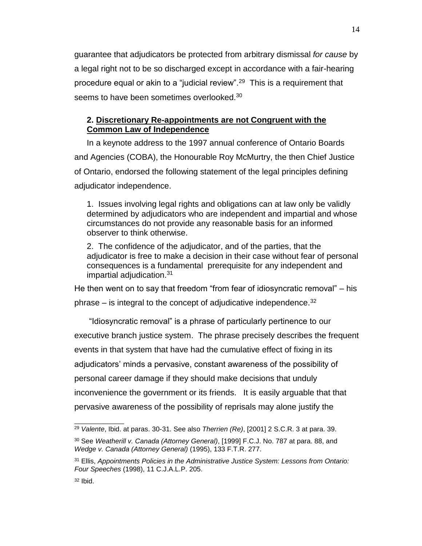guarantee that adjudicators be protected from arbitrary dismissal *for cause* by a legal right not to be so discharged except in accordance with a fair-hearing procedure equal or akin to a "judicial review".<sup>29</sup> This is a requirement that seems to have been sometimes overlooked.<sup>30</sup>

# <span id="page-15-0"></span>**2. Discretionary Re-appointments are not Congruent with the Common Law of Independence**

In a keynote address to the 1997 annual conference of Ontario Boards and Agencies (COBA), the Honourable Roy McMurtry, the then Chief Justice of Ontario, endorsed the following statement of the legal principles defining adjudicator independence.

1. Issues involving legal rights and obligations can at law only be validly determined by adjudicators who are independent and impartial and whose circumstances do not provide any reasonable basis for an informed observer to think otherwise.

2. The confidence of the adjudicator, and of the parties, that the adjudicator is free to make a decision in their case without fear of personal consequences is a fundamental prerequisite for any independent and impartial adjudication.<sup>31</sup>

He then went on to say that freedom "from fear of idiosyncratic removal" – his phrase – is integral to the concept of adjudicative independence.  $32$ 

"Idiosyncratic removal" is a phrase of particularly pertinence to our executive branch justice system. The phrase precisely describes the frequent events in that system that have had the cumulative effect of fixing in its adjudicators' minds a pervasive, constant awareness of the possibility of personal career damage if they should make decisions that unduly inconvenience the government or its friends. It is easily arguable that that pervasive awareness of the possibility of reprisals may alone justify the

<sup>29</sup> *Valente*, Ibid. at paras. 30-31. See also *Therrien (Re)*, [2001] 2 S.C.R. 3 at para. 39.

<sup>30</sup> See *Weatherill v. Canada (Attorney General)*, [1999] F.C.J. No. 787 at para. 88, and *Wedge v. Canada (Attorney General)* (1995), 133 F.T.R. 277.

<sup>31</sup> Ellis, *Appointments Policies in the Administrative Justice System: Lessons from Ontario: Four Speeches* (1998), 11 C.J.A.L.P. 205.

 $32$  Ibid.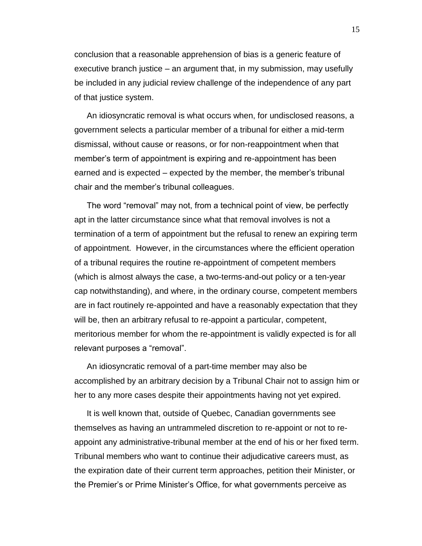conclusion that a reasonable apprehension of bias is a generic feature of executive branch justice – an argument that, in my submission, may usefully be included in any judicial review challenge of the independence of any part of that justice system.

An idiosyncratic removal is what occurs when, for undisclosed reasons, a government selects a particular member of a tribunal for either a mid-term dismissal, without cause or reasons, or for non-reappointment when that member's term of appointment is expiring and re-appointment has been earned and is expected – expected by the member, the member's tribunal chair and the member's tribunal colleagues.

The word "removal" may not, from a technical point of view, be perfectly apt in the latter circumstance since what that removal involves is not a termination of a term of appointment but the refusal to renew an expiring term of appointment. However, in the circumstances where the efficient operation of a tribunal requires the routine re-appointment of competent members (which is almost always the case, a two-terms-and-out policy or a ten-year cap notwithstanding), and where, in the ordinary course, competent members are in fact routinely re-appointed and have a reasonably expectation that they will be, then an arbitrary refusal to re-appoint a particular, competent, meritorious member for whom the re-appointment is validly expected is for all relevant purposes a "removal".

An idiosyncratic removal of a part-time member may also be accomplished by an arbitrary decision by a Tribunal Chair not to assign him or her to any more cases despite their appointments having not yet expired.

It is well known that, outside of Quebec, Canadian governments see themselves as having an untrammeled discretion to re-appoint or not to reappoint any administrative-tribunal member at the end of his or her fixed term. Tribunal members who want to continue their adjudicative careers must, as the expiration date of their current term approaches, petition their Minister, or the Premier's or Prime Minister's Office, for what governments perceive as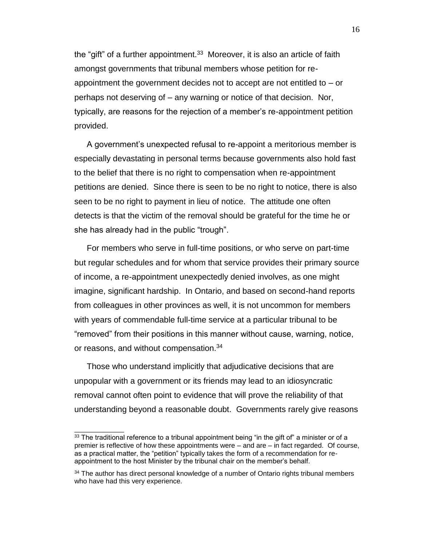the "gift" of a further appointment. $33$  Moreover, it is also an article of faith amongst governments that tribunal members whose petition for reappointment the government decides not to accept are not entitled to – or perhaps not deserving of – any warning or notice of that decision. Nor, typically, are reasons for the rejection of a member's re-appointment petition provided.

A government's unexpected refusal to re-appoint a meritorious member is especially devastating in personal terms because governments also hold fast to the belief that there is no right to compensation when re-appointment petitions are denied. Since there is seen to be no right to notice, there is also seen to be no right to payment in lieu of notice. The attitude one often detects is that the victim of the removal should be grateful for the time he or she has already had in the public "trough".

For members who serve in full-time positions, or who serve on part-time but regular schedules and for whom that service provides their primary source of income, a re-appointment unexpectedly denied involves, as one might imagine, significant hardship. In Ontario, and based on second-hand reports from colleagues in other provinces as well, it is not uncommon for members with years of commendable full-time service at a particular tribunal to be "removed" from their positions in this manner without cause, warning, notice, or reasons, and without compensation.<sup>34</sup>

Those who understand implicitly that adjudicative decisions that are unpopular with a government or its friends may lead to an idiosyncratic removal cannot often point to evidence that will prove the reliability of that understanding beyond a reasonable doubt. Governments rarely give reasons

<sup>33</sup> The traditional reference to a tribunal appointment being "in the gift of" a minister or of a premier is reflective of how these appointments were – and are – in fact regarded. Of course, as a practical matter, the "petition" typically takes the form of a recommendation for reappointment to the host Minister by the tribunal chair on the member's behalf.

<sup>&</sup>lt;sup>34</sup> The author has direct personal knowledge of a number of Ontario rights tribunal members who have had this very experience.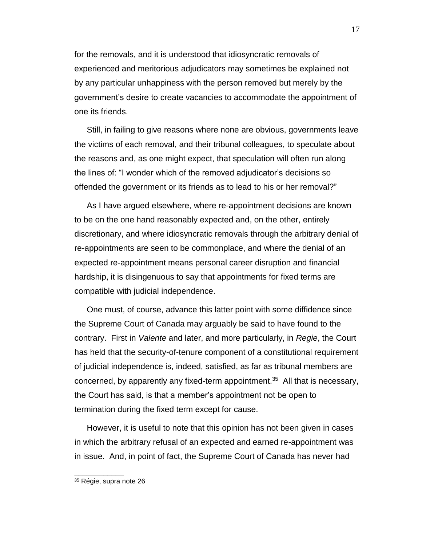for the removals, and it is understood that idiosyncratic removals of experienced and meritorious adjudicators may sometimes be explained not by any particular unhappiness with the person removed but merely by the government's desire to create vacancies to accommodate the appointment of one its friends.

Still, in failing to give reasons where none are obvious, governments leave the victims of each removal, and their tribunal colleagues, to speculate about the reasons and, as one might expect, that speculation will often run along the lines of: "I wonder which of the removed adjudicator's decisions so offended the government or its friends as to lead to his or her removal?"

As I have argued elsewhere, where re-appointment decisions are known to be on the one hand reasonably expected and, on the other, entirely discretionary, and where idiosyncratic removals through the arbitrary denial of re-appointments are seen to be commonplace, and where the denial of an expected re-appointment means personal career disruption and financial hardship, it is disingenuous to say that appointments for fixed terms are compatible with judicial independence.

One must, of course, advance this latter point with some diffidence since the Supreme Court of Canada may arguably be said to have found to the contrary. First in *Valente* and later, and more particularly, in *Regie*, the Court has held that the security-of-tenure component of a constitutional requirement of judicial independence is, indeed, satisfied, as far as tribunal members are concerned, by apparently any fixed-term appointment.<sup>35</sup> All that is necessary, the Court has said, is that a member's appointment not be open to termination during the fixed term except for cause.

However, it is useful to note that this opinion has not been given in cases in which the arbitrary refusal of an expected and earned re-appointment was in issue. And, in point of fact, the Supreme Court of Canada has never had

<sup>35</sup> Régie, supra note [26](#page-14-2)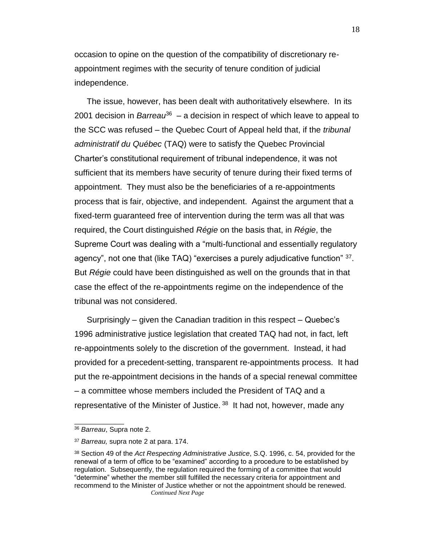occasion to opine on the question of the compatibility of discretionary reappointment regimes with the security of tenure condition of judicial independence.

The issue, however, has been dealt with authoritatively elsewhere. In its 2001 decision in *Barreau*<sup>36</sup> – a decision in respect of which leave to appeal to the SCC was refused – the Quebec Court of Appeal held that, if the *tribunal administratif du Québec* (TAQ) were to satisfy the Quebec Provincial Charter's constitutional requirement of tribunal independence, it was not sufficient that its members have security of tenure during their fixed terms of appointment. They must also be the beneficiaries of a re-appointments process that is fair, objective, and independent. Against the argument that a fixed-term guaranteed free of intervention during the term was all that was required, the Court distinguished *Régie* on the basis that, in *Régie*, the Supreme Court was dealing with a "multi-functional and essentially regulatory agency", not one that (like TAQ) "exercises a purely adjudicative function" <sup>37</sup>. But *Régie* could have been distinguished as well on the grounds that in that case the effect of the re-appointments regime on the independence of the tribunal was not considered.

Surprisingly – given the Canadian tradition in this respect – Quebec's 1996 administrative justice legislation that created TAQ had not, in fact, left re-appointments solely to the discretion of the government. Instead, it had provided for a precedent-setting, transparent re-appointments process. It had put the re-appointment decisions in the hands of a special renewal committee – a committee whose members included the President of TAQ and a representative of the Minister of Justice.<sup>38</sup> It had not, however, made any

<sup>36</sup> *Barreau*, Supra note [2.](#page-2-1)

<sup>37</sup> *Barreau,* supra note [2](#page-2-1) at para. 174.

<sup>38</sup> Section 49 of the *Act Respecting Administrative Justice*, S.Q. 1996, c. 54, provided for the renewal of a term of office to be "examined" according to a procedure to be established by regulation. Subsequently, the regulation required the forming of a committee that would "determine" whether the member still fulfilled the necessary criteria for appointment and recommend to the Minister of Justice whether or not the appointment should be renewed. *Continued Next Page*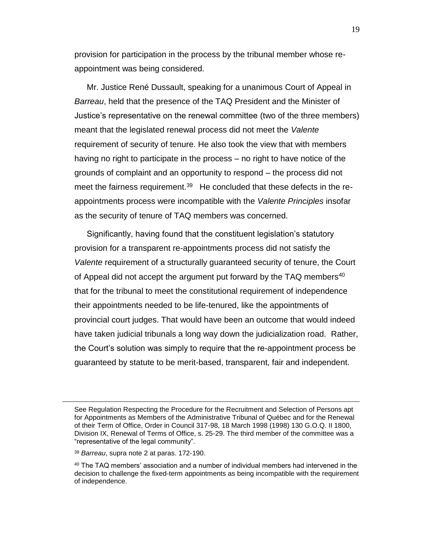provision for participation in the process by the tribunal member whose reappointment was being considered.

Mr. Justice René Dussault, speaking for a unanimous Court of Appeal in *Barreau*, held that the presence of the TAQ President and the Minister of Justice's representative on the renewal committee (two of the three members) meant that the legislated renewal process did not meet the *Valente* requirement of security of tenure. He also took the view that with members having no right to participate in the process – no right to have notice of the grounds of complaint and an opportunity to respond – the process did not meet the fairness requirement.<sup>39</sup> He concluded that these defects in the reappointments process were incompatible with the *Valente Principles* insofar as the security of tenure of TAQ members was concerned.

Significantly, having found that the constituent legislation's statutory provision for a transparent re-appointments process did not satisfy the *Valente* requirement of a structurally guaranteed security of tenure, the Court of Appeal did not accept the argument put forward by the TAQ members<sup>40</sup> that for the tribunal to meet the constitutional requirement of independence their appointments needed to be life-tenured, like the appointments of provincial court judges. That would have been an outcome that would indeed have taken judicial tribunals a long way down the judicialization road. Rather, the Court's solution was simply to require that the re-appointment process be guaranteed by statute to be merit-based, transparent, fair and independent.

 $\overline{a}$ 

See Regulation Respecting the Procedure for the Recruitment and Selection of Persons apt for Appointments as Members of the Administrative Tribunal of Québec and for the Renewal of their Term of Office, Order in Council 317-98, 18 March 1998 (1998) 130 G.O.Q. II 1800, Division IX, Renewal of Terms of Office, s. 25-29. The third member of the committee was a "representative of the legal community".

<sup>39</sup> *Barreau*, supra note [2](#page-2-1) at paras. 172-190.

<sup>40</sup> The TAQ members' association and a number of individual members had intervened in the decision to challenge the fixed-term appointments as being incompatible with the requirement of independence.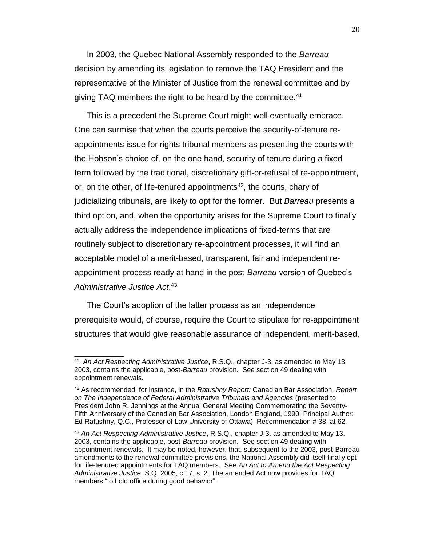In 2003, the Quebec National Assembly responded to the *Barreau* decision by amending its legislation to remove the TAQ President and the representative of the Minister of Justice from the renewal committee and by giving TAQ members the right to be heard by the committee.<sup>41</sup>

This is a precedent the Supreme Court might well eventually embrace. One can surmise that when the courts perceive the security-of-tenure reappointments issue for rights tribunal members as presenting the courts with the Hobson's choice of, on the one hand, security of tenure during a fixed term followed by the traditional, discretionary gift-or-refusal of re-appointment, or, on the other, of life-tenured appointments<sup>42</sup>, the courts, chary of judicializing tribunals, are likely to opt for the former. But *Barreau* presents a third option, and, when the opportunity arises for the Supreme Court to finally actually address the independence implications of fixed-terms that are routinely subject to discretionary re-appointment processes, it will find an acceptable model of a merit-based, transparent, fair and independent reappointment process ready at hand in the post-*Barreau* version of Quebec's *Administrative Justice Act*. 43

The Court's adoption of the latter process as an independence prerequisite would, of course, require the Court to stipulate for re-appointment structures that would give reasonable assurance of independent, merit-based,

<sup>41</sup> *An Act Respecting Administrative Justice***,** R.S.Q., chapter J-3, as amended to May 13, 2003, contains the applicable, post-*Barreau* provision. See section 49 dealing with appointment renewals.

<sup>42</sup> As recommended, for instance, in the *Ratushny Report:* Canadian Bar Association, *Report on The Independence of Federal Administrative Tribunals and Agencies* (presented to President John R. Jennings at the Annual General Meeting Commemorating the Seventy-Fifth Anniversary of the Canadian Bar Association, London England, 1990; Principal Author: Ed Ratushny, Q.C., Professor of Law University of Ottawa), Recommendation # 38, at 62.

<sup>43</sup> *An Act Respecting Administrative Justice***,** R.S.Q., chapter J-3, as amended to May 13, 2003, contains the applicable, post-*Barreau* provision. See section 49 dealing with appointment renewals. It may be noted, however, that, subsequent to the 2003, post-Barreau amendments to the renewal committee provisions, the National Assembly did itself finally opt for life-tenured appointments for TAQ members. See *An Act to Amend the Act Respecting Administrative Justice*, S.Q. 2005, c.17, s. 2. The amended Act now provides for TAQ members "to hold office during good behavior".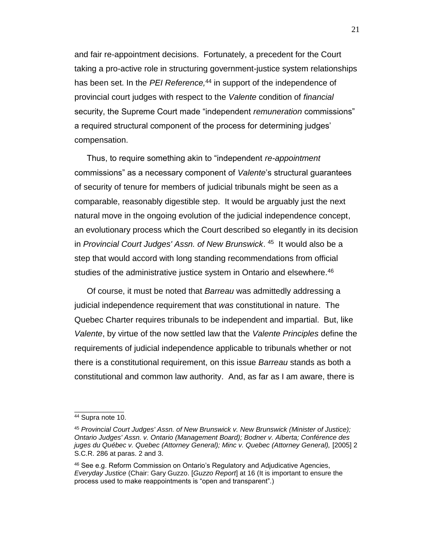and fair re-appointment decisions. Fortunately, a precedent for the Court taking a pro-active role in structuring government-justice system relationships has been set. In the *PEI Reference*,<sup>44</sup> in support of the independence of provincial court judges with respect to the *Valente* condition of *financial* security, the Supreme Court made "independent *remuneration* commissions" a required structural component of the process for determining judges' compensation.

Thus, to require something akin to "independent *re-appointment* commissions" as a necessary component of *Valente*'s structural guarantees of security of tenure for members of judicial tribunals might be seen as a comparable, reasonably digestible step. It would be arguably just the next natural move in the ongoing evolution of the judicial independence concept, an evolutionary process which the Court described so elegantly in its decision in *Provincial Court Judges' Assn. of New Brunswick*. 45 It would also be a step that would accord with long standing recommendations from official studies of the administrative justice system in Ontario and elsewhere.<sup>46</sup>

<span id="page-22-0"></span>Of course, it must be noted that *Barreau* was admittedly addressing a judicial independence requirement that *was* constitutional in nature. The Quebec Charter requires tribunals to be independent and impartial. But, like *Valente*, by virtue of the now settled law that the *Valente Principles* define the requirements of judicial independence applicable to tribunals whether or not there is a constitutional requirement, on this issue *Barreau* stands as both a constitutional and common law authority. And, as far as I am aware, there is

<sup>44</sup> Supra note [10.](#page-7-1)

<sup>45</sup> *Provincial Court Judges' Assn. of New Brunswick v. New Brunswick (Minister of Justice); Ontario Judges' Assn. v. Ontario (Management Board); Bodner v. Alberta; Conférence des juges du Québec v. Quebec (Attorney General); Minc v. Quebec (Attorney General),* [2005] 2 S.C.R. 286 at paras. 2 and 3.

<sup>46</sup> See e.g. Reform Commission on Ontario's Regulatory and Adjudicative Agencies, *Everyday Justice* (Chair: Gary Guzzo. [*Guzzo Report*] at 16 (It is important to ensure the process used to make reappointments is "open and transparent".)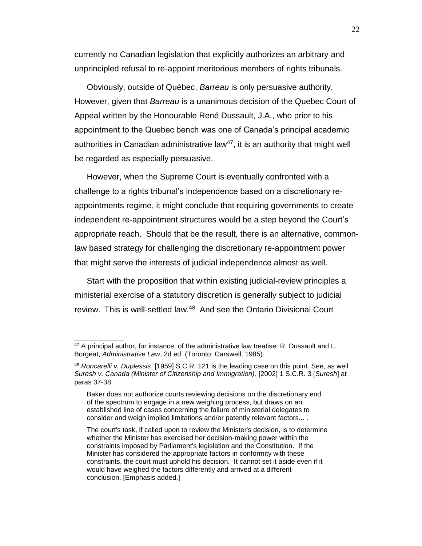currently no Canadian legislation that explicitly authorizes an arbitrary and unprincipled refusal to re-appoint meritorious members of rights tribunals.

Obviously, outside of Québec, *Barreau* is only persuasive authority. However, given that *Barreau* is a unanimous decision of the Quebec Court of Appeal written by the Honourable René Dussault, J.A., who prior to his appointment to the Quebec bench was one of Canada's principal academic authorities in Canadian administrative law<sup>47</sup>, it is an authority that might well be regarded as especially persuasive.

However, when the Supreme Court is eventually confronted with a challenge to a rights tribunal's independence based on a discretionary reappointments regime, it might conclude that requiring governments to create independent re-appointment structures would be a step beyond the Court's appropriate reach. Should that be the result, there is an alternative, commonlaw based strategy for challenging the discretionary re-appointment power that might serve the interests of judicial independence almost as well.

Start with the proposition that within existing judicial-review principles a ministerial exercise of a statutory discretion is generally subject to judicial review. This is well-settled law.<sup>48</sup> And see the Ontario Divisional Court

 $47$  A principal author, for instance, of the administrative law treatise: R. Dussault and L. Borgeat, *Administrative Law*, 2d ed. (Toronto: Carswell, 1985).

<sup>48</sup> *Roncarelli v. Duplessis*, [1959] S.C.R. 121 is the leading case on this point. See, as well *Suresh v. Canada (Minister of Citizenship and Immigration),* [2002] 1 S.C.R. 3 [*Suresh*] at paras 37-38:

Baker does not authorize courts reviewing decisions on the discretionary end of the spectrum to engage in a new weighing process, but draws on an established line of cases concerning the failure of ministerial delegates to consider and weigh implied limitations and/or patently relevant factors... .

The court's task, if called upon to review the Minister's decision, is to determine whether the Minister has exercised her decision-making power within the constraints imposed by Parliament's legislation and the Constitution. If the Minister has considered the appropriate factors in conformity with these constraints, the court must uphold his decision. It cannot set it aside even if it would have weighed the factors differently and arrived at a different conclusion. [Emphasis added.]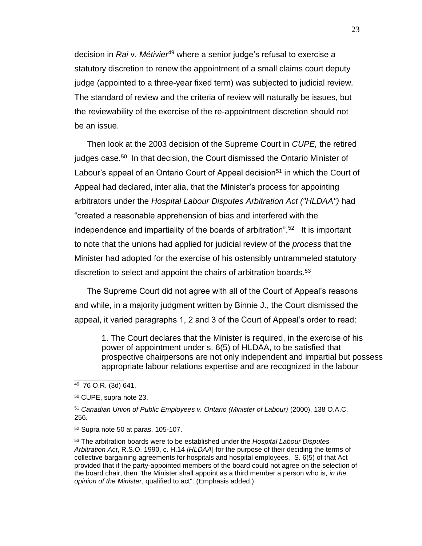<span id="page-24-1"></span>decision in *Rai* v. *Métivier*<sup>49</sup> where a senior judge's refusal to exercise a statutory discretion to renew the appointment of a small claims court deputy judge (appointed to a three-year fixed term) was subjected to judicial review. The standard of review and the criteria of review will naturally be issues, but the reviewability of the exercise of the re-appointment discretion should not be an issue.

<span id="page-24-0"></span>Then look at the 2003 decision of the Supreme Court in *CUPE,* the retired judges case*.* 50 In that decision, the Court dismissed the Ontario Minister of Labour's appeal of an Ontario Court of Appeal decision<sup>51</sup> in which the Court of Appeal had declared, inter alia, that the Minister's process for appointing arbitrators under the *Hospital Labour Disputes Arbitration Act ("HLDAA")* had "created a reasonable apprehension of bias and interfered with the independence and impartiality of the boards of arbitration".<sup>52</sup> It is important to note that the unions had applied for judicial review of the *process* that the Minister had adopted for the exercise of his ostensibly untrammeled statutory discretion to select and appoint the chairs of arbitration boards.<sup>53</sup>

The Supreme Court did not agree with all of the Court of Appeal's reasons and while, in a majority judgment written by Binnie J., the Court dismissed the appeal, it varied paragraphs 1, 2 and 3 of the Court of Appeal's order to read:

1. The Court declares that the Minister is required, in the exercise of his power of appointment under s. 6(5) of HLDAA, to be satisfied that prospective chairpersons are not only independent and impartial but possess appropriate labour relations expertise and are recognized in the labour

<sup>49</sup> 76 O.R. (3d) 641.

<sup>50</sup> CUPE, supra note [23.](#page-11-1)

<sup>51</sup> *Canadian Union of Public Employees v. Ontario (Minister of Labour)* (2000), 138 O.A.C. 256.

<sup>52</sup> Supra note [50](#page-24-0) at paras. 105-107.

<sup>53</sup> The arbitration boards were to be established under the *Hospital Labour Disputes Arbitration Act*, R.S.O. 1990, c. H.14 *[HLDAA*] for the purpose of their deciding the terms of collective bargaining agreements for hospitals and hospital employees. S. 6(5) of that Act provided that if the party-appointed members of the board could not agree on the selection of the board chair, then "the Minister shall appoint as a third member a person who is, *in the opinion of the Minister*, qualified to act". (Emphasis added.)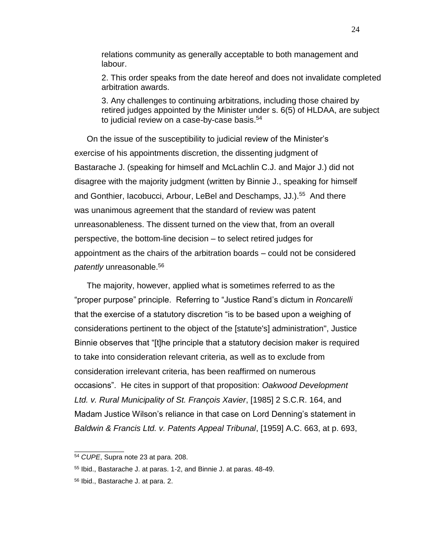relations community as generally acceptable to both management and labour.

2. This order speaks from the date hereof and does not invalidate completed arbitration awards.

3. Any challenges to continuing arbitrations, including those chaired by retired judges appointed by the Minister under s. 6(5) of HLDAA, are subject to judicial review on a case-by-case basis.<sup>54</sup>

On the issue of the susceptibility to judicial review of the Minister's exercise of his appointments discretion, the dissenting judgment of Bastarache J. (speaking for himself and McLachlin C.J. and Major J.) did not disagree with the majority judgment (written by Binnie J., speaking for himself and Gonthier, Iacobucci, Arbour, LeBel and Deschamps, JJ.).<sup>55</sup> And there was unanimous agreement that the standard of review was patent unreasonableness. The dissent turned on the view that, from an overall perspective, the bottom-line decision – to select retired judges for appointment as the chairs of the arbitration boards – could not be considered *patently* unreasonable.<sup>56</sup>

The majority, however, applied what is sometimes referred to as the "proper purpose" principle. Referring to "Justice Rand's dictum in *Roncarelli* that the exercise of a statutory discretion "is to be based upon a weighing of considerations pertinent to the object of the [statute's] administration", Justice Binnie observes that "[t]he principle that a statutory decision maker is required to take into consideration relevant criteria, as well as to exclude from consideration irrelevant criteria, has been reaffirmed on numerous occasions". He cites in support of that proposition: *Oakwood Development Ltd. v. Rural Municipality of St. François Xavier*, [1985] 2 S.C.R. 164, and Madam Justice Wilson's reliance in that case on Lord Denning's statement in *Baldwin & Francis Ltd. v. Patents Appeal Tribunal*, [1959] A.C. 663, at p. 693,

<sup>54</sup> *CUPE*, Supra note [23](#page-11-1) at para. 208.

<sup>55</sup> Ibid., Bastarache J. at paras. 1-2, and Binnie J. at paras. 48-49.

<sup>56</sup> Ibid., Bastarache J. at para. 2.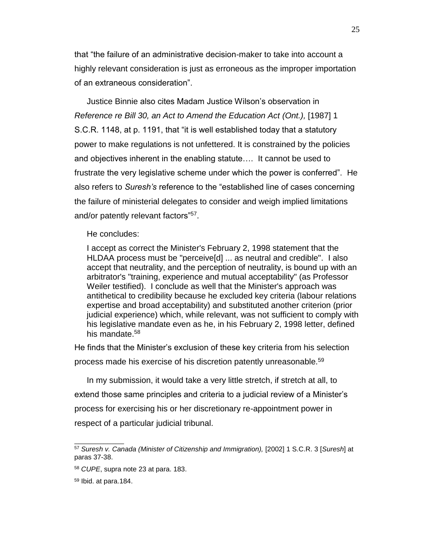that "the failure of an administrative decision-maker to take into account a highly relevant consideration is just as erroneous as the improper importation of an extraneous consideration".

Justice Binnie also cites Madam Justice Wilson's observation in *Reference re Bill 30, an Act to Amend the Education Act (Ont.),* [1987] 1 S.C.R. 1148, at p. 1191, that "it is well established today that a statutory power to make regulations is not unfettered. It is constrained by the policies and objectives inherent in the enabling statute…. It cannot be used to frustrate the very legislative scheme under which the power is conferred". He also refers to *Suresh's* reference to the "established line of cases concerning the failure of ministerial delegates to consider and weigh implied limitations and/or patently relevant factors"<sup>57</sup>.

#### He concludes:

I accept as correct the Minister's February 2, 1998 statement that the HLDAA process must be "perceive[d] ... as neutral and credible". I also accept that neutrality, and the perception of neutrality, is bound up with an arbitrator's "training, experience and mutual acceptability" (as Professor Weiler testified). I conclude as well that the Minister's approach was antithetical to credibility because he excluded key criteria (labour relations expertise and broad acceptability) and substituted another criterion (prior judicial experience) which, while relevant, was not sufficient to comply with his legislative mandate even as he, in his February 2, 1998 letter, defined his mandate.<sup>58</sup>

He finds that the Minister's exclusion of these key criteria from his selection process made his exercise of his discretion patently unreasonable.<sup>59</sup>

In my submission, it would take a very little stretch, if stretch at all, to extend those same principles and criteria to a judicial review of a Minister's process for exercising his or her discretionary re-appointment power in respect of a particular judicial tribunal.

<sup>57</sup> *Suresh v. Canada (Minister of Citizenship and Immigration),* [2002] 1 S.C.R. 3 [*Suresh*] at paras 37-38.

<sup>58</sup> *CUPE*, supra note [23](#page-11-1) at para. 183.

<sup>59</sup> Ibid. at para.184.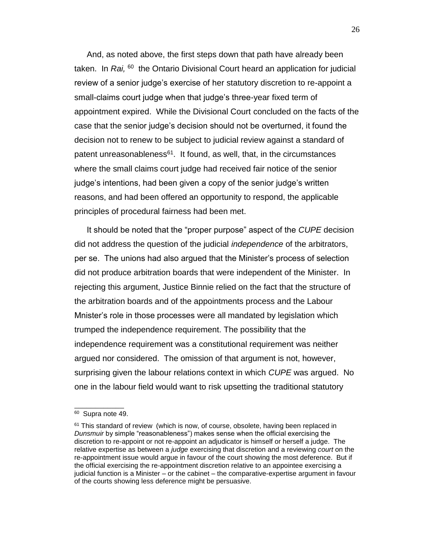And, as noted above, the first steps down that path have already been taken. In Rai, <sup>60</sup> the Ontario Divisional Court heard an application for judicial review of a senior judge's exercise of her statutory discretion to re-appoint a small-claims court judge when that judge's three-year fixed term of appointment expired. While the Divisional Court concluded on the facts of the case that the senior judge's decision should not be overturned, it found the decision not to renew to be subject to judicial review against a standard of patent unreasonableness<sup>61</sup>. It found, as well, that, in the circumstances where the small claims court judge had received fair notice of the senior judge's intentions, had been given a copy of the senior judge's written reasons, and had been offered an opportunity to respond, the applicable principles of procedural fairness had been met.

It should be noted that the "proper purpose" aspect of the *CUPE* decision did not address the question of the judicial *independence* of the arbitrators, per se. The unions had also argued that the Minister's process of selection did not produce arbitration boards that were independent of the Minister. In rejecting this argument, Justice Binnie relied on the fact that the structure of the arbitration boards and of the appointments process and the Labour Mnister's role in those processes were all mandated by legislation which trumped the independence requirement. The possibility that the independence requirement was a constitutional requirement was neither argued nor considered. The omission of that argument is not, however, surprising given the labour relations context in which *CUPE* was argued. No one in the labour field would want to risk upsetting the traditional statutory

<sup>&</sup>lt;sup>60</sup> Supra note [49.](#page-24-1)

 $61$  This standard of review (which is now, of course, obsolete, having been replaced in *Dunsmuir* by simple "reasonableness") makes sense when the official exercising the discretion to re-appoint or not re-appoint an adjudicator is himself or herself a judge. The relative expertise as between a *judge* exercising that discretion and a reviewing *court* on the re-appointment issue would argue in favour of the court showing the most deference. But if the official exercising the re-appointment discretion relative to an appointee exercising a judicial function is a Minister – or the cabinet – the comparative-expertise argument in favour of the courts showing less deference might be persuasive.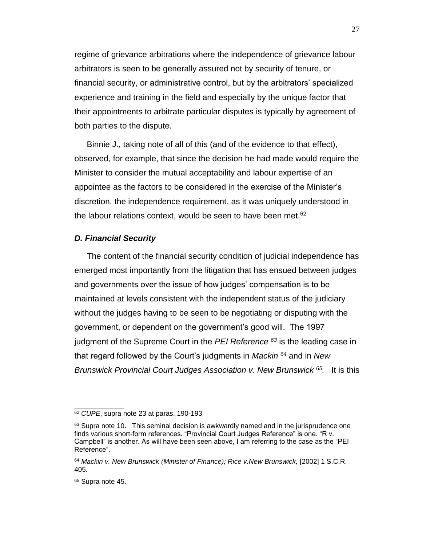regime of grievance arbitrations where the independence of grievance labour arbitrators is seen to be generally assured not by security of tenure, or financial security, or administrative control, but by the arbitrators' specialized experience and training in the field and especially by the unique factor that their appointments to arbitrate particular disputes is typically by agreement of both parties to the dispute.

Binnie J., taking note of all of this (and of the evidence to that effect), observed, for example, that since the decision he had made would require the Minister to consider the mutual acceptability and labour expertise of an appointee as the factors to be considered in the exercise of the Minister's discretion, the independence requirement, as it was uniquely understood in the labour relations context, would be seen to have been met.<sup>62</sup>

#### <span id="page-28-0"></span>*D. Financial Security*

The content of the financial security condition of judicial independence has emerged most importantly from the litigation that has ensued between judges and governments over the issue of how judges' compensation is to be maintained at levels consistent with the independent status of the judiciary without the judges having to be seen to be negotiating or disputing with the government, or dependent on the government's good will. The 1997 judgment of the Supreme Court in the *PEI Reference <sup>63</sup>* is the leading case in that regard followed by the Court's judgments in *Mackin <sup>64</sup>* and in *New Brunswick Provincial Court Judges Association v. New Brunswick <sup>65</sup> .* It is this

<sup>62</sup> *CUPE*, supra note [23](#page-11-1) at paras. 190-193

 $63$  Supra note [10.](#page-7-1) This seminal decision is awkwardly named and in the jurisprudence one finds various short-form references. "Provincial Court Judges Reference" is one. "R v. Campbell" is another. As will have been seen above, I am referring to the case as the "PEI Reference".

<sup>&</sup>lt;sup>64</sup> Mackin v. New Brunswick (Minister of Finance); Rice v. New Brunswick, [2002] 1 S.C.R. 405.

<sup>65</sup> Supra note [45.](#page-22-0)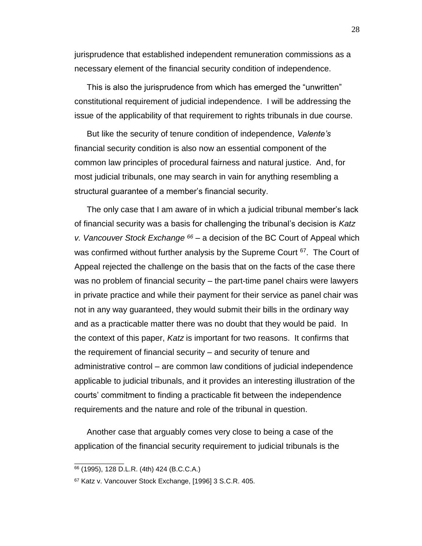jurisprudence that established independent remuneration commissions as a necessary element of the financial security condition of independence.

This is also the jurisprudence from which has emerged the "unwritten" constitutional requirement of judicial independence. I will be addressing the issue of the applicability of that requirement to rights tribunals in due course.

But like the security of tenure condition of independence, *Valente's* financial security condition is also now an essential component of the common law principles of procedural fairness and natural justice. And, for most judicial tribunals, one may search in vain for anything resembling a structural guarantee of a member's financial security.

The only case that I am aware of in which a judicial tribunal member's lack of financial security was a basis for challenging the tribunal's decision is *Katz v. Vancouver Stock Exchange <sup>66</sup>* – a decision of the BC Court of Appeal which was confirmed without further analysis by the Supreme Court <sup>67</sup>. The Court of Appeal rejected the challenge on the basis that on the facts of the case there was no problem of financial security – the part-time panel chairs were lawyers in private practice and while their payment for their service as panel chair was not in any way guaranteed, they would submit their bills in the ordinary way and as a practicable matter there was no doubt that they would be paid. In the context of this paper, *Katz* is important for two reasons. It confirms that the requirement of financial security – and security of tenure and administrative control – are common law conditions of judicial independence applicable to judicial tribunals, and it provides an interesting illustration of the courts' commitment to finding a practicable fit between the independence requirements and the nature and role of the tribunal in question.

Another case that arguably comes very close to being a case of the application of the financial security requirement to judicial tribunals is the

<sup>66</sup> (1995), 128 D.L.R. (4th) 424 (B.C.C.A.)

<sup>67</sup> Katz v. Vancouver Stock Exchange, [1996] 3 S.C.R. 405.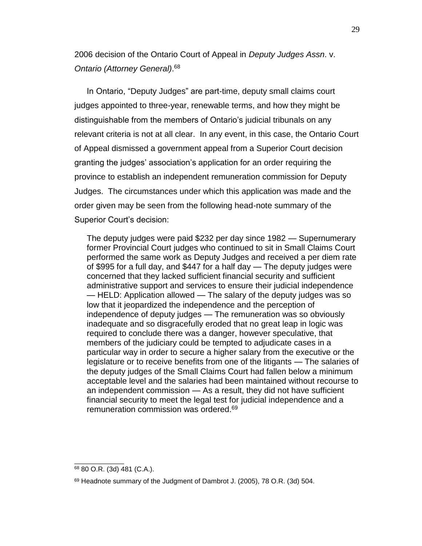<span id="page-30-0"></span>2006 decision of the Ontario Court of Appeal in *Deputy Judges Assn*. v. *Ontario (Attorney General)*. 68

In Ontario, "Deputy Judges" are part-time, deputy small claims court judges appointed to three-year, renewable terms, and how they might be distinguishable from the members of Ontario's judicial tribunals on any relevant criteria is not at all clear. In any event, in this case, the Ontario Court of Appeal dismissed a government appeal from a Superior Court decision granting the judges' association's application for an order requiring the province to establish an independent remuneration commission for Deputy Judges. The circumstances under which this application was made and the order given may be seen from the following head-note summary of the Superior Court's decision:

The deputy judges were paid \$232 per day since 1982 — Supernumerary former Provincial Court judges who continued to sit in Small Claims Court performed the same work as Deputy Judges and received a per diem rate of \$995 for a full day, and \$447 for a half day — The deputy judges were concerned that they lacked sufficient financial security and sufficient administrative support and services to ensure their judicial independence — HELD: Application allowed — The salary of the deputy judges was so low that it jeopardized the independence and the perception of independence of deputy judges — The remuneration was so obviously inadequate and so disgracefully eroded that no great leap in logic was required to conclude there was a danger, however speculative, that members of the judiciary could be tempted to adjudicate cases in a particular way in order to secure a higher salary from the executive or the legislature or to receive benefits from one of the litigants — The salaries of the deputy judges of the Small Claims Court had fallen below a minimum acceptable level and the salaries had been maintained without recourse to an independent commission — As a result, they did not have sufficient financial security to meet the legal test for judicial independence and a remuneration commission was ordered.<sup>69</sup>

<sup>68</sup> 80 O.R. (3d) 481 (C.A.).

<sup>&</sup>lt;sup>69</sup> Headnote summary of the Judgment of Dambrot J. (2005), 78 O.R. (3d) 504.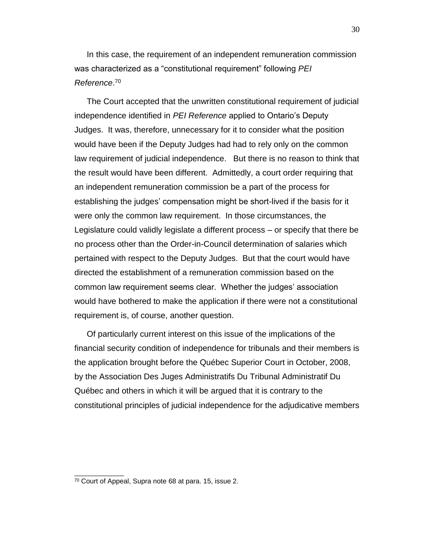In this case, the requirement of an independent remuneration commission was characterized as a "constitutional requirement" following *PEI Reference*. 70

The Court accepted that the unwritten constitutional requirement of judicial independence identified in *PEI Reference* applied to Ontario's Deputy Judges. It was, therefore, unnecessary for it to consider what the position would have been if the Deputy Judges had had to rely only on the common law requirement of judicial independence. But there is no reason to think that the result would have been different. Admittedly, a court order requiring that an independent remuneration commission be a part of the process for establishing the judges' compensation might be short-lived if the basis for it were only the common law requirement. In those circumstances, the Legislature could validly legislate a different process – or specify that there be no process other than the Order-in-Council determination of salaries which pertained with respect to the Deputy Judges. But that the court would have directed the establishment of a remuneration commission based on the common law requirement seems clear. Whether the judges' association would have bothered to make the application if there were not a constitutional requirement is, of course, another question.

Of particularly current interest on this issue of the implications of the financial security condition of independence for tribunals and their members is the application brought before the Québec Superior Court in October, 2008, by the Association Des Juges Administratifs Du Tribunal Administratif Du Québec and others in which it will be argued that it is contrary to the constitutional principles of judicial independence for the adjudicative members

<sup>70</sup> Court of Appeal, Supra note [68](#page-30-0) at para. 15, issue 2.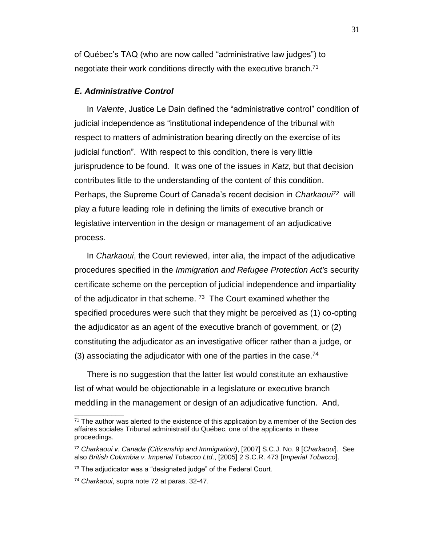of Québec's TAQ (who are now called "administrative law judges") to negotiate their work conditions directly with the executive branch. $71$ 

### <span id="page-32-0"></span>*E. Administrative Control*

In *Valente*, Justice Le Dain defined the "administrative control" condition of judicial independence as "institutional independence of the tribunal with respect to matters of administration bearing directly on the exercise of its judicial function". With respect to this condition, there is very little jurisprudence to be found. It was one of the issues in *Katz*, but that decision contributes little to the understanding of the content of this condition. Perhaps, the Supreme Court of Canada's recent decision in *Charkaoui<sup>72</sup>* will play a future leading role in defining the limits of executive branch or legislative intervention in the design or management of an adjudicative process.

<span id="page-32-1"></span>In *Charkaoui*, the Court reviewed, inter alia, the impact of the adjudicative procedures specified in the *Immigration and Refugee Protection Act's* security certificate scheme on the perception of judicial independence and impartiality of the adjudicator in that scheme.  $73$  The Court examined whether the specified procedures were such that they might be perceived as (1) co-opting the adjudicator as an agent of the executive branch of government, or (2) constituting the adjudicator as an investigative officer rather than a judge, or (3) associating the adjudicator with one of the parties in the case.<sup>74</sup>

There is no suggestion that the latter list would constitute an exhaustive list of what would be objectionable in a legislature or executive branch meddling in the management or design of an adjudicative function. And,

 $71$  The author was alerted to the existence of this application by a member of the Section des affaires sociales Tribunal administratif du Québec, one of the applicants in these proceedings.

<sup>72</sup> *Charkaoui v. Canada (Citizenship and Immigration)*, [2007] S.C.J. No. 9 [*Charkaoui*]. See also *British Columbia v. Imperial Tobacco Ltd*., [2005] 2 S.C.R. 473 [*Imperial Tobacco*].

<sup>&</sup>lt;sup>73</sup> The adjudicator was a "designated judge" of the Federal Court.

<sup>74</sup> *Charkaoui*, supra note [72](#page-32-1) at paras. 32-47.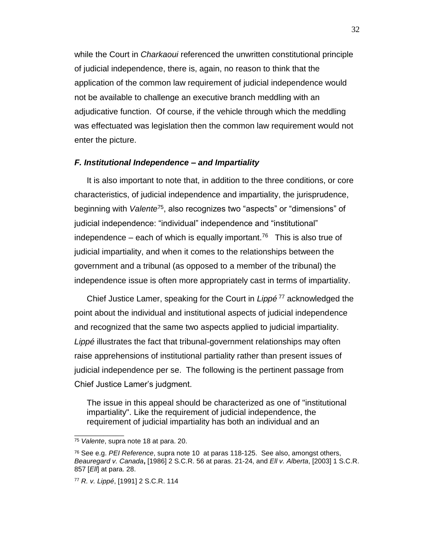while the Court in *Charkaoui* referenced the unwritten constitutional principle of judicial independence, there is, again, no reason to think that the application of the common law requirement of judicial independence would not be available to challenge an executive branch meddling with an adjudicative function. Of course, if the vehicle through which the meddling was effectuated was legislation then the common law requirement would not enter the picture.

#### <span id="page-33-0"></span>*F. Institutional Independence – and Impartiality*

<span id="page-33-2"></span>It is also important to note that, in addition to the three conditions, or core characteristics, of judicial independence and impartiality, the jurisprudence, beginning with *Valente*<sup>75</sup>, also recognizes two "aspects" or "dimensions" of judicial independence: "individual" independence and "institutional" independence – each of which is equally important.<sup>76</sup> This is also true of judicial impartiality, and when it comes to the relationships between the government and a tribunal (as opposed to a member of the tribunal) the independence issue is often more appropriately cast in terms of impartiality.

<span id="page-33-1"></span>Chief Justice Lamer, speaking for the Court in *Lippé* <sup>77</sup> acknowledged the point about the individual and institutional aspects of judicial independence and recognized that the same two aspects applied to judicial impartiality. *Lippé* illustrates the fact that tribunal-government relationships may often raise apprehensions of institutional partiality rather than present issues of judicial independence per se. The following is the pertinent passage from Chief Justice Lamer's judgment.

The issue in this appeal should be characterized as one of "institutional impartiality". Like the requirement of judicial independence, the requirement of judicial impartiality has both an individual and an

<sup>75</sup> *Valente*, supra note [18](#page-10-1) at para. 20.

<sup>76</sup> See e.g. *PEI Reference*, supra note [10](#page-7-1) at paras 118-125. See also, amongst others, *Beauregard v. Canada***,** [1986] 2 S.C.R. 56 at paras. 21-24, and *Ell v. Alberta*, [2003] 1 S.C.R. 857 [*Ell*] at para. 28.

<sup>77</sup> *R. v. Lippé*, [1991] 2 S.C.R. 114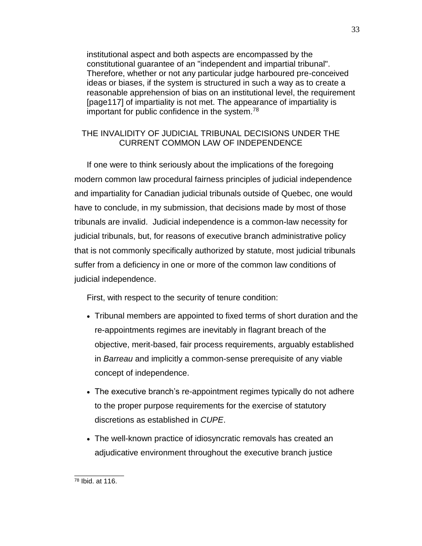institutional aspect and both aspects are encompassed by the constitutional guarantee of an "independent and impartial tribunal". Therefore, whether or not any particular judge harboured pre-conceived ideas or biases, if the system is structured in such a way as to create a reasonable apprehension of bias on an institutional level, the requirement [page117] of impartiality is not met. The appearance of impartiality is important for public confidence in the system.<sup>78</sup>

# <span id="page-34-0"></span>THE INVALIDITY OF JUDICIAL TRIBUNAL DECISIONS UNDER THE CURRENT COMMON LAW OF INDEPENDENCE

If one were to think seriously about the implications of the foregoing modern common law procedural fairness principles of judicial independence and impartiality for Canadian judicial tribunals outside of Quebec, one would have to conclude, in my submission, that decisions made by most of those tribunals are invalid. Judicial independence is a common-law necessity for judicial tribunals, but, for reasons of executive branch administrative policy that is not commonly specifically authorized by statute, most judicial tribunals suffer from a deficiency in one or more of the common law conditions of judicial independence.

First, with respect to the security of tenure condition:

- Tribunal members are appointed to fixed terms of short duration and the re-appointments regimes are inevitably in flagrant breach of the objective, merit-based, fair process requirements, arguably established in *Barreau* and implicitly a common-sense prerequisite of any viable concept of independence.
- The executive branch's re-appointment regimes typically do not adhere to the proper purpose requirements for the exercise of statutory discretions as established in *CUPE*.
- The well-known practice of idiosyncratic removals has created an adjudicative environment throughout the executive branch justice

 $\frac{1}{2}$  ,  $\frac{1}{2}$  ,  $\frac{1}{2}$  ,  $\frac{1}{2}$  ,  $\frac{1}{2}$  ,  $\frac{1}{2}$  ,  $\frac{1}{2}$  ,  $\frac{1}{2}$ <sup>78</sup> Ibid. at 116.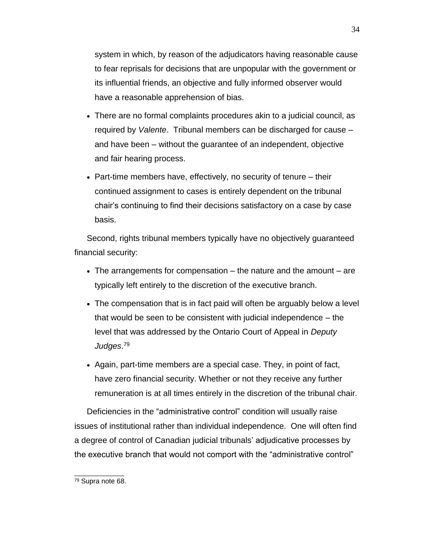system in which, by reason of the adjudicators having reasonable cause to fear reprisals for decisions that are unpopular with the government or its influential friends, an objective and fully informed observer would have a reasonable apprehension of bias.

- There are no formal complaints procedures akin to a judicial council, as required by *Valente*. Tribunal members can be discharged for cause – and have been – without the guarantee of an independent, objective and fair hearing process.
- Part-time members have, effectively, no security of tenure their continued assignment to cases is entirely dependent on the tribunal chair's continuing to find their decisions satisfactory on a case by case basis.

Second, rights tribunal members typically have no objectively guaranteed financial security:

- $\bullet$  The arrangements for compensation the nature and the amount are typically left entirely to the discretion of the executive branch.
- The compensation that is in fact paid will often be arguably below a level that would be seen to be consistent with judicial independence – the level that was addressed by the Ontario Court of Appeal in *Deputy Judges*. 79
- Again, part-time members are a special case. They, in point of fact, have zero financial security. Whether or not they receive any further remuneration is at all times entirely in the discretion of the tribunal chair.

Deficiencies in the "administrative control" condition will usually raise issues of institutional rather than individual independence. One will often find a degree of control of Canadian judicial tribunals' adjudicative processes by the executive branch that would not comport with the "administrative control"

 $\frac{1}{2}$  ,  $\frac{1}{2}$  ,  $\frac{1}{2}$  ,  $\frac{1}{2}$  ,  $\frac{1}{2}$  ,  $\frac{1}{2}$  ,  $\frac{1}{2}$  ,  $\frac{1}{2}$ <sup>79</sup> Supra note [68.](#page-30-0)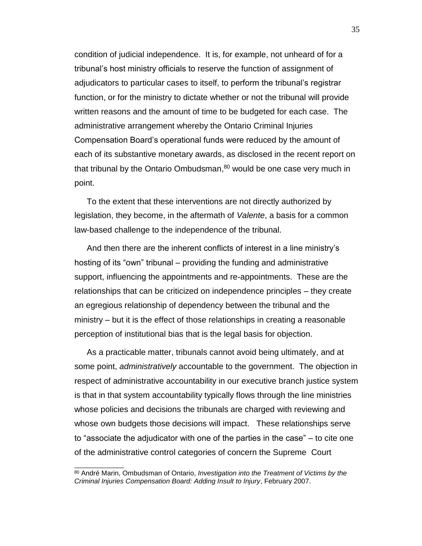condition of judicial independence. It is, for example, not unheard of for a tribunal's host ministry officials to reserve the function of assignment of adjudicators to particular cases to itself, to perform the tribunal's registrar function, or for the ministry to dictate whether or not the tribunal will provide written reasons and the amount of time to be budgeted for each case. The administrative arrangement whereby the Ontario Criminal Injuries Compensation Board's operational funds were reduced by the amount of each of its substantive monetary awards, as disclosed in the recent report on that tribunal by the Ontario Ombudsman,<sup>80</sup> would be one case very much in point.

To the extent that these interventions are not directly authorized by legislation, they become, in the aftermath of *Valente*, a basis for a common law-based challenge to the independence of the tribunal.

And then there are the inherent conflicts of interest in a line ministry's hosting of its "own" tribunal – providing the funding and administrative support, influencing the appointments and re-appointments. These are the relationships that can be criticized on independence principles – they create an egregious relationship of dependency between the tribunal and the  $ministry - but it is the effect of those relationships in creating a reasonable$ perception of institutional bias that is the legal basis for objection.

As a practicable matter, tribunals cannot avoid being ultimately, and at some point, *administratively* accountable to the government. The objection in respect of administrative accountability in our executive branch justice system is that in that system accountability typically flows through the line ministries whose policies and decisions the tribunals are charged with reviewing and whose own budgets those decisions will impact. These relationships serve to "associate the adjudicator with one of the parties in the case" – to cite one of the administrative control categories of concern the Supreme Court

<sup>80</sup> André Marin, Ombudsman of Ontario, *Investigation into the Treatment of Victims by the Criminal Injuries Compensation Board: Adding Insult to Injury*, February 2007.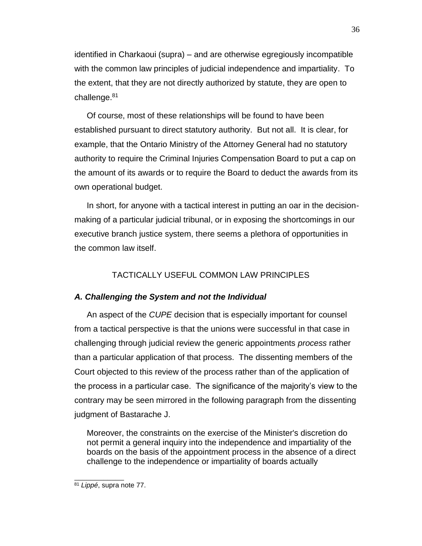identified in Charkaoui (supra) – and are otherwise egregiously incompatible with the common law principles of judicial independence and impartiality. To the extent, that they are not directly authorized by statute, they are open to challenge.<sup>81</sup>

Of course, most of these relationships will be found to have been established pursuant to direct statutory authority. But not all. It is clear, for example, that the Ontario Ministry of the Attorney General had no statutory authority to require the Criminal Injuries Compensation Board to put a cap on the amount of its awards or to require the Board to deduct the awards from its own operational budget.

In short, for anyone with a tactical interest in putting an oar in the decisionmaking of a particular judicial tribunal, or in exposing the shortcomings in our executive branch justice system, there seems a plethora of opportunities in the common law itself.

# TACTICALLY USEFUL COMMON LAW PRINCIPLES

# <span id="page-37-1"></span><span id="page-37-0"></span>*A. Challenging the System and not the Individual*

An aspect of the *CUPE* decision that is especially important for counsel from a tactical perspective is that the unions were successful in that case in challenging through judicial review the generic appointments *process* rather than a particular application of that process. The dissenting members of the Court objected to this review of the process rather than of the application of the process in a particular case. The significance of the majority's view to the contrary may be seen mirrored in the following paragraph from the dissenting judgment of Bastarache J.

Moreover, the constraints on the exercise of the Minister's discretion do not permit a general inquiry into the independence and impartiality of the boards on the basis of the appointment process in the absence of a direct challenge to the independence or impartiality of boards actually

<sup>81</sup> *Lippé*, supra note [77.](#page-33-1)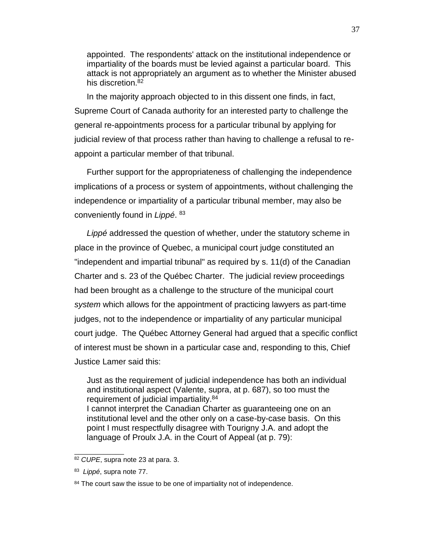appointed. The respondents' attack on the institutional independence or impartiality of the boards must be levied against a particular board. This attack is not appropriately an argument as to whether the Minister abused his discretion.<sup>82</sup>

In the majority approach objected to in this dissent one finds, in fact, Supreme Court of Canada authority for an interested party to challenge the general re-appointments process for a particular tribunal by applying for judicial review of that process rather than having to challenge a refusal to reappoint a particular member of that tribunal.

Further support for the appropriateness of challenging the independence implications of a process or system of appointments, without challenging the independence or impartiality of a particular tribunal member, may also be conveniently found in *Lippé*. 83

*Lippé* addressed the question of whether, under the statutory scheme in place in the province of Quebec, a municipal court judge constituted an "independent and impartial tribunal" as required by s. 11(d) of the Canadian Charter and s. 23 of the Québec Charter. The judicial review proceedings had been brought as a challenge to the structure of the municipal court *system* which allows for the appointment of practicing lawyers as part-time judges, not to the independence or impartiality of any particular municipal court judge. The Québec Attorney General had argued that a specific conflict of interest must be shown in a particular case and, responding to this, Chief Justice Lamer said this:

Just as the requirement of judicial independence has both an individual and institutional aspect (Valente, supra, at p. 687), so too must the requirement of judicial impartiality.<sup>84</sup> I cannot interpret the Canadian Charter as guaranteeing one on an institutional level and the other only on a case-by-case basis. On this point I must respectfully disagree with Tourigny J.A. and adopt the language of Proulx J.A. in the Court of Appeal (at p. 79):

<sup>82</sup> *CUPE*, supra note [23](#page-11-1) at para. 3.

<sup>83</sup> *Lippé*, supra note [77.](#page-33-1)

<sup>&</sup>lt;sup>84</sup> The court saw the issue to be one of impartiality not of independence.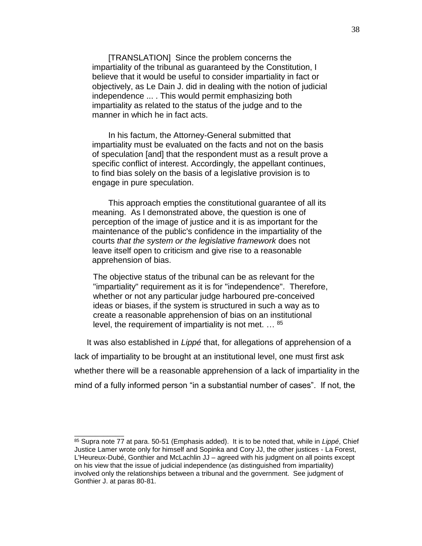[TRANSLATION] Since the problem concerns the impartiality of the tribunal as guaranteed by the Constitution, I believe that it would be useful to consider impartiality in fact or objectively, as Le Dain J. did in dealing with the notion of judicial independence ... . This would permit emphasizing both impartiality as related to the status of the judge and to the manner in which he in fact acts.

 In his factum, the Attorney-General submitted that impartiality must be evaluated on the facts and not on the basis of speculation [and] that the respondent must as a result prove a specific conflict of interest. Accordingly, the appellant continues, to find bias solely on the basis of a legislative provision is to engage in pure speculation.

 This approach empties the constitutional guarantee of all its meaning. As I demonstrated above, the question is one of perception of the image of justice and it is as important for the maintenance of the public's confidence in the impartiality of the courts *that the system or the legislative framework* does not leave itself open to criticism and give rise to a reasonable apprehension of bias.

The objective status of the tribunal can be as relevant for the "impartiality" requirement as it is for "independence". Therefore, whether or not any particular judge harboured pre-conceived ideas or biases, if the system is structured in such a way as to create a reasonable apprehension of bias on an institutional level, the requirement of impartiality is not met. … <sup>85</sup>

It was also established in *Lippé* that, for allegations of apprehension of a lack of impartiality to be brought at an institutional level, one must first ask whether there will be a reasonable apprehension of a lack of impartiality in the mind of a fully informed person "in a substantial number of cases". If not, the

<sup>85</sup> Supra note [77](#page-33-1) at para. 50-51 (Emphasis added). It is to be noted that, while in *Lippé*, Chief Justice Lamer wrote only for himself and Sopinka and Cory JJ, the other justices - La Forest, L'Heureux-Dubé, Gonthier and McLachlin JJ – agreed with his judgment on all points except on his view that the issue of judicial independence (as distinguished from impartiality) involved only the relationships between a tribunal and the government. See judgment of Gonthier J. at paras 80-81.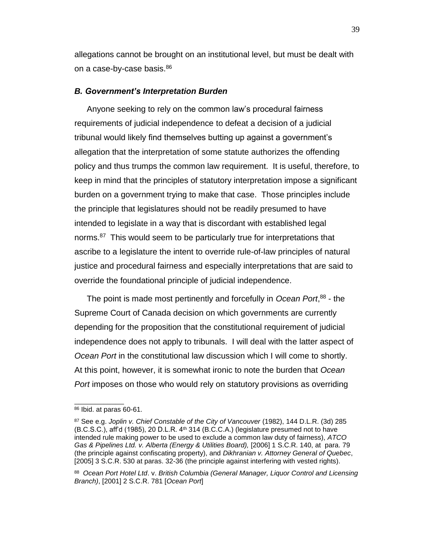allegations cannot be brought on an institutional level, but must be dealt with on a case-by-case basis.<sup>86</sup>

#### <span id="page-40-0"></span>*B. Government's Interpretation Burden*

Anyone seeking to rely on the common law's procedural fairness requirements of judicial independence to defeat a decision of a judicial tribunal would likely find themselves butting up against a government's allegation that the interpretation of some statute authorizes the offending policy and thus trumps the common law requirement. It is useful, therefore, to keep in mind that the principles of statutory interpretation impose a significant burden on a government trying to make that case. Those principles include the principle that legislatures should not be readily presumed to have intended to legislate in a way that is discordant with established legal norms.<sup>87</sup> This would seem to be particularly true for interpretations that ascribe to a legislature the intent to override rule-of-law principles of natural justice and procedural fairness and especially interpretations that are said to override the foundational principle of judicial independence.

<span id="page-40-1"></span>The point is made most pertinently and forcefully in *Ocean Port*, 88 - the Supreme Court of Canada decision on which governments are currently depending for the proposition that the constitutional requirement of judicial independence does not apply to tribunals. I will deal with the latter aspect of *Ocean Port* in the constitutional law discussion which I will come to shortly. At this point, however, it is somewhat ironic to note the burden that *Ocean Port* imposes on those who would rely on statutory provisions as overriding

<sup>86</sup> Ibid. at paras 60-61.

<sup>87</sup> See e.g. *Joplin v. Chief Constable of the City of Vancouver* (1982), 144 D.L.R. (3d) 285 (B.C.S.C.), aff'd (1985), 20 D.L.R. 4th 314 (B.C.C.A.) (legislature presumed not to have intended rule making power to be used to exclude a common law duty of fairness), *ATCO Gas & Pipelines Ltd. v. Alberta (Energy & Utilities Board),* [2006] 1 S.C.R. 140, at para. 79 (the principle against confiscating property), and *Dikhranian v. Attorney General of Quebec*, [2005] 3 S.C.R. 530 at paras. 32-36 (the principle against interfering with vested rights).

<sup>88</sup> *Ocean Port Hotel Ltd*. v. *British Columbia (General Manager, Liquor Control and Licensing Branch)*, [2001] 2 S.C.R. 781 [*Ocean Port*]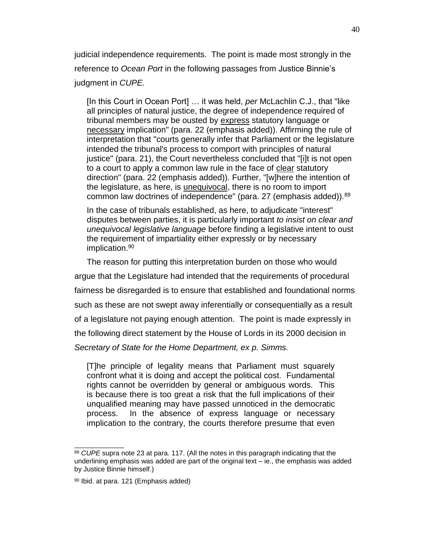judicial independence requirements. The point is made most strongly in the reference to *Ocean Port* in the following passages from Justice Binnie's judgment in *CUPE.*

[In this Court in Ocean Port] … it was held, *per* McLachlin C.J., that "like all principles of natural justice, the degree of independence required of tribunal members may be ousted by express statutory language or necessary implication" (para. 22 (emphasis added)). Affirming the rule of interpretation that "courts generally infer that Parliament or the legislature intended the tribunal's process to comport with principles of natural justice" (para. 21), the Court nevertheless concluded that "[i]t is not open to a court to apply a common law rule in the face of clear statutory direction" (para. 22 (emphasis added)). Further, "[w]here the intention of the legislature, as here, is unequivocal, there is no room to import common law doctrines of independence" (para. 27 (emphasis added)).<sup>89</sup>

In the case of tribunals established, as here, to adjudicate "interest" disputes between parties, it is particularly important *to insist on clear and unequivocal legislative language* before finding a legislative intent to oust the requirement of impartiality either expressly or by necessary implication.<sup>90</sup>

The reason for putting this interpretation burden on those who would argue that the Legislature had intended that the requirements of procedural fairness be disregarded is to ensure that established and foundational norms such as these are not swept away inferentially or consequentially as a result of a legislature not paying enough attention. The point is made expressly in the following direct statement by the House of Lords in its 2000 decision in *Secretary of State for the Home Department, ex p. Simms.* 

[T]he principle of legality means that Parliament must squarely confront what it is doing and accept the political cost. Fundamental rights cannot be overridden by general or ambiguous words. This is because there is too great a risk that the full implications of their unqualified meaning may have passed unnoticed in the democratic process. In the absence of express language or necessary implication to the contrary, the courts therefore presume that even

<sup>89</sup> *CUPE* supra note [23](#page-11-1) at para. 117. (All the notes in this paragraph indicating that the underlining emphasis was added are part of the original text – ie., the emphasis was added by Justice Binnie himself.)

<sup>90</sup> Ibid. at para. 121 (Emphasis added)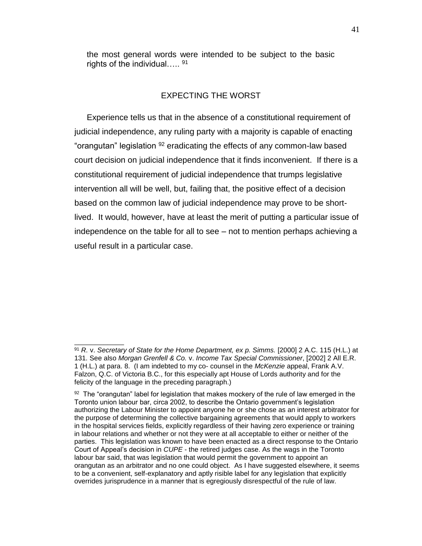the most general words were intended to be subject to the basic rights of the individual.....<sup>91</sup>

# EXPECTING THE WORST

<span id="page-42-0"></span>Experience tells us that in the absence of a constitutional requirement of judicial independence, any ruling party with a majority is capable of enacting "orangutan" legislation <sup>92</sup> eradicating the effects of any common-law based court decision on judicial independence that it finds inconvenient. If there is a constitutional requirement of judicial independence that trumps legislative intervention all will be well, but, failing that, the positive effect of a decision based on the common law of judicial independence may prove to be shortlived. It would, however, have at least the merit of putting a particular issue of independence on the table for all to see – not to mention perhaps achieving a useful result in a particular case.

<sup>&</sup>lt;sup>91</sup> R. v. Secretary of State for the Home Department, ex p. Simms. [2000] 2 A.C. 115 (H.L.) at 131. See also *Morgan Grenfell & Co.* v. *Income Tax Special Commissioner*, [2002] 2 All E.R. 1 (H.L.) at para. 8. (I am indebted to my co- counsel in the *McKenzie* appeal, Frank A.V. Falzon, Q.C. of Victoria B.C., for this especially apt House of Lords authority and for the felicity of the language in the preceding paragraph.)

 $92$  The "orangutan" label for legislation that makes mockery of the rule of law emerged in the Toronto union labour bar, circa 2002, to describe the Ontario government's legislation authorizing the Labour Minister to appoint anyone he or she chose as an interest arbitrator for the purpose of determining the collective bargaining agreements that would apply to workers in the hospital services fields, explicitly regardless of their having zero experience or training in labour relations and whether or not they were at all acceptable to either or neither of the parties. This legislation was known to have been enacted as a direct response to the Ontario Court of Appeal's decision in *CUPE* - the retired judges case. As the wags in the Toronto labour bar said, that was legislation that would permit the government to appoint an orangutan as an arbitrator and no one could object. As I have suggested elsewhere, it seems to be a convenient, self-explanatory and aptly risible label for any legislation that explicitly overrides jurisprudence in a manner that is egregiously disrespectful of the rule of law.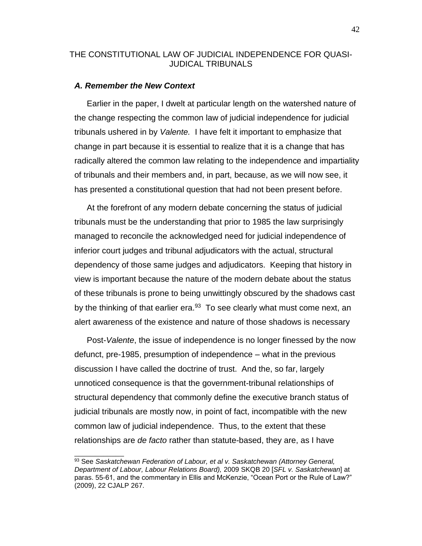## <span id="page-43-0"></span>THE CONSTITUTIONAL LAW OF JUDICIAL INDEPENDENCE FOR QUASI-JUDICAL TRIBUNALS

#### <span id="page-43-1"></span>*A. Remember the New Context*

 $\frac{1}{2}$  ,  $\frac{1}{2}$  ,  $\frac{1}{2}$  ,  $\frac{1}{2}$  ,  $\frac{1}{2}$  ,  $\frac{1}{2}$  ,  $\frac{1}{2}$  ,  $\frac{1}{2}$ 

Earlier in the paper, I dwelt at particular length on the watershed nature of the change respecting the common law of judicial independence for judicial tribunals ushered in by *Valente.* I have felt it important to emphasize that change in part because it is essential to realize that it is a change that has radically altered the common law relating to the independence and impartiality of tribunals and their members and, in part, because, as we will now see, it has presented a constitutional question that had not been present before.

At the forefront of any modern debate concerning the status of judicial tribunals must be the understanding that prior to 1985 the law surprisingly managed to reconcile the acknowledged need for judicial independence of inferior court judges and tribunal adjudicators with the actual, structural dependency of those same judges and adjudicators. Keeping that history in view is important because the nature of the modern debate about the status of these tribunals is prone to being unwittingly obscured by the shadows cast by the thinking of that earlier era.<sup>93</sup> To see clearly what must come next, an alert awareness of the existence and nature of those shadows is necessary

Post-*Valente*, the issue of independence is no longer finessed by the now defunct, pre-1985, presumption of independence – what in the previous discussion I have called the doctrine of trust. And the, so far, largely unnoticed consequence is that the government-tribunal relationships of structural dependency that commonly define the executive branch status of judicial tribunals are mostly now, in point of fact, incompatible with the new common law of judicial independence. Thus, to the extent that these relationships are *de facto* rather than statute-based, they are, as I have

<sup>93</sup> See *Saskatchewan Federation of Labour, et al v. Saskatchewan (Attorney General, Department of Labour, Labour Relations Board),* 2009 SKQB 20 [*SFL v. Saskatchewan*] at paras. 55-61, and the commentary in Ellis and McKenzie, "Ocean Port or the Rule of Law?" (2009), 22 CJALP 267.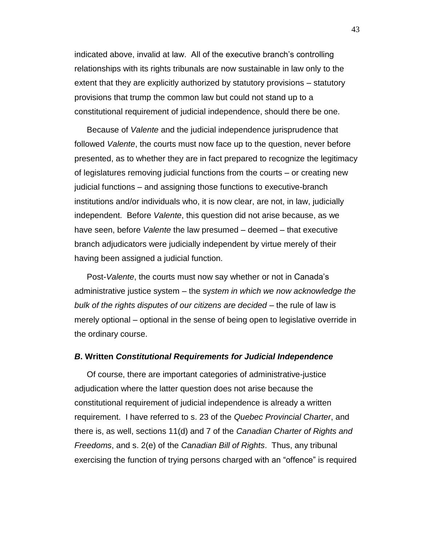indicated above, invalid at law. All of the executive branch's controlling relationships with its rights tribunals are now sustainable in law only to the extent that they are explicitly authorized by statutory provisions – statutory provisions that trump the common law but could not stand up to a constitutional requirement of judicial independence, should there be one.

Because of *Valente* and the judicial independence jurisprudence that followed *Valente*, the courts must now face up to the question, never before presented, as to whether they are in fact prepared to recognize the legitimacy of legislatures removing judicial functions from the courts – or creating new judicial functions – and assigning those functions to executive-branch institutions and/or individuals who, it is now clear, are not, in law, judicially independent. Before *Valente*, this question did not arise because, as we have seen, before *Valente* the law presumed – deemed – that executive branch adjudicators were judicially independent by virtue merely of their having been assigned a judicial function.

Post-*Valente*, the courts must now say whether or not in Canada's administrative justice system – the sy*stem in which we now acknowledge the bulk of the rights disputes of our citizens are decided –* the rule of law is merely optional – optional in the sense of being open to legislative override in the ordinary course.

#### <span id="page-44-0"></span>*B***. Written** *Constitutional Requirements for Judicial Independence*

Of course, there are important categories of administrative-justice adjudication where the latter question does not arise because the constitutional requirement of judicial independence is already a written requirement. I have referred to s. 23 of the *Quebec Provincial Charter*, and there is, as well, sections 11(d) and 7 of the *Canadian Charter of Rights and Freedoms*, and s. 2(e) of the *Canadian Bill of Rights*. Thus, any tribunal exercising the function of trying persons charged with an "offence" is required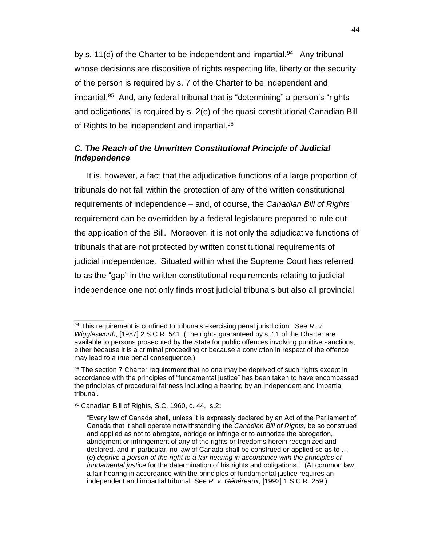by s. 11(d) of the Charter to be independent and impartial.<sup>94</sup> Any tribunal whose decisions are dispositive of rights respecting life, liberty or the security of the person is required by s. 7 of the Charter to be independent and impartial.<sup>95</sup> And, any federal tribunal that is "determining" a person's "rights and obligations" is required by s. 2(e) of the quasi-constitutional Canadian Bill of Rights to be independent and impartial.<sup>96</sup>

# <span id="page-45-0"></span>*C. The Reach of the Unwritten Constitutional Principle of Judicial Independence*

It is, however, a fact that the adjudicative functions of a large proportion of tribunals do not fall within the protection of any of the written constitutional requirements of independence – and, of course, the *Canadian Bill of Rights* requirement can be overridden by a federal legislature prepared to rule out the application of the Bill. Moreover, it is not only the adjudicative functions of tribunals that are not protected by written constitutional requirements of judicial independence. Situated within what the Supreme Court has referred to as the "gap" in the written constitutional requirements relating to judicial independence one not only finds most judicial tribunals but also all provincial

<sup>94</sup> This requirement is confined to tribunals exercising penal jurisdiction. See *R. v. Wigglesworth*, [1987] 2 S.C.R. 541. (The rights guaranteed by s. 11 of the Charter are available to persons prosecuted by the State for public offences involving punitive sanctions, either because it is a criminal proceeding or because a conviction in respect of the offence may lead to a true penal consequence.)

<sup>95</sup> The section 7 Charter requirement that no one may be deprived of such rights except in accordance with the principles of "fundamental justice" has been taken to have encompassed the principles of procedural fairness including a hearing by an independent and impartial tribunal.

<sup>96</sup> Canadian Bill of Rights, S.C. 1960, c. 44, s.2**:** 

<sup>&</sup>quot;Every law of Canada shall, unless it is expressly declared by an Act of the Parliament of Canada that it shall operate notwithstanding the *Canadian Bill of Rights*, be so construed and applied as not to abrogate, abridge or infringe or to authorize the abrogation, abridgment or infringement of any of the rights or freedoms herein recognized and declared, and in particular, no law of Canada shall be construed or applied so as to … (*e*) *deprive a person of the right to a fair hearing in accordance with the principles of fundamental justice* for the determination of his rights and obligations." (At common law, a fair hearing in accordance with the principles of fundamental justice requires an independent and impartial tribunal. See *R. v. Généreaux,* [1992] 1 S.C.R. 259.)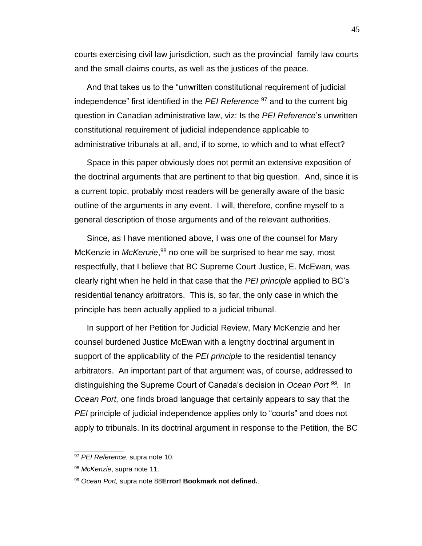courts exercising civil law jurisdiction, such as the provincial family law courts and the small claims courts, as well as the justices of the peace.

And that takes us to the "unwritten constitutional requirement of judicial independence" first identified in the *PEI Reference* <sup>97</sup> and to the current big question in Canadian administrative law, viz: Is the *PEI Reference*'s unwritten constitutional requirement of judicial independence applicable to administrative tribunals at all, and, if to some, to which and to what effect?

Space in this paper obviously does not permit an extensive exposition of the doctrinal arguments that are pertinent to that big question. And, since it is a current topic, probably most readers will be generally aware of the basic outline of the arguments in any event. I will, therefore, confine myself to a general description of those arguments and of the relevant authorities.

Since, as I have mentioned above, I was one of the counsel for Mary McKenzie in *McKenzie*,<sup>98</sup> no one will be surprised to hear me say, most respectfully, that I believe that BC Supreme Court Justice, E. McEwan, was clearly right when he held in that case that the *PEI principle* applied to BC's residential tenancy arbitrators. This is, so far, the only case in which the principle has been actually applied to a judicial tribunal.

In support of her Petition for Judicial Review, Mary McKenzie and her counsel burdened Justice McEwan with a lengthy doctrinal argument in support of the applicability of the *PEI principle* to the residential tenancy arbitrators. An important part of that argument was, of course, addressed to distinguishing the Supreme Court of Canada's decision in *Ocean Port <sup>99</sup> .* In *Ocean Port,* one finds broad language that certainly appears to say that the *PEI* principle of judicial independence applies only to "courts" and does not apply to tribunals. In its doctrinal argument in response to the Petition, the BC

<sup>97</sup> *PEI Reference*, supra note [10.](#page-7-2)

<sup>98</sup> *McKenzie*, supra note [11.](#page-7-3)

<sup>99</sup> *Ocean Port,* supra note [88](#page-40-1)**[Error! Bookmark not defined.](#page-40-1)**.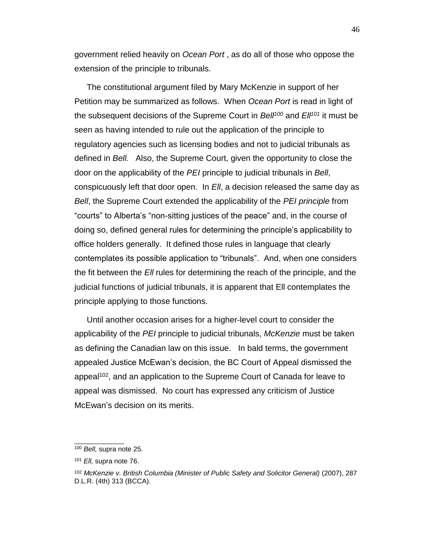government relied heavily on *Ocean Port* , as do all of those who oppose the extension of the principle to tribunals.

The constitutional argument filed by Mary McKenzie in support of her Petition may be summarized as follows. When *Ocean Port* is read in light of the subsequent decisions of the Supreme Court in *Bell<sup>100</sup>* and *Ell<sup>101</sup>* it must be seen as having intended to rule out the application of the principle to regulatory agencies such as licensing bodies and not to judicial tribunals as defined in *Bell.* Also, the Supreme Court, given the opportunity to close the door on the applicability of the *PEI* principle to judicial tribunals in *Bell*, conspicuously left that door open. In *Ell*, a decision released the same day as *Bell*, the Supreme Court extended the applicability of the *PEI principle* from "courts" to Alberta's "non-sitting justices of the peace" and, in the course of doing so, defined general rules for determining the principle's applicability to office holders generally. It defined those rules in language that clearly contemplates its possible application to "tribunals". And, when one considers the fit between the *Ell* rules for determining the reach of the principle, and the judicial functions of judicial tribunals, it is apparent that Ell contemplates the principle applying to those functions.

Until another occasion arises for a higher-level court to consider the applicability of the *PEI* principle to judicial tribunals, *McKenzie* must be taken as defining the Canadian law on this issue. In bald terms, the government appealed Justice McEwan's decision, the BC Court of Appeal dismissed the appeal<sup>102</sup>, and an application to the Supreme Court of Canada for leave to appeal was dismissed. No court has expressed any criticism of Justice McEwan's decision on its merits.

<sup>100</sup> *Bell,* supra note [25.](#page-14-3)

<sup>101</sup> *Ell,* supra note [76.](#page-33-2)

<sup>102</sup> *McKenzie v. British Columbia (Minister of Public Safety and Solicitor General)* (2007), 287 D.L.R. (4th) 313 (BCCA).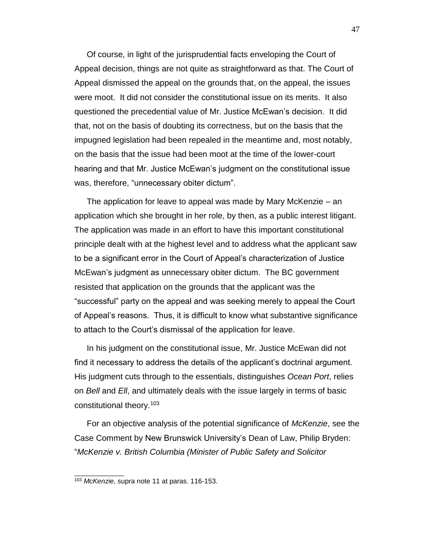Of course, in light of the jurisprudential facts enveloping the Court of Appeal decision, things are not quite as straightforward as that. The Court of Appeal dismissed the appeal on the grounds that, on the appeal, the issues were moot. It did not consider the constitutional issue on its merits. It also questioned the precedential value of Mr. Justice McEwan's decision. It did that, not on the basis of doubting its correctness, but on the basis that the impugned legislation had been repealed in the meantime and, most notably, on the basis that the issue had been moot at the time of the lower-court hearing and that Mr. Justice McEwan's judgment on the constitutional issue was, therefore, "unnecessary obiter dictum".

The application for leave to appeal was made by Mary McKenzie – an application which she brought in her role, by then, as a public interest litigant. The application was made in an effort to have this important constitutional principle dealt with at the highest level and to address what the applicant saw to be a significant error in the Court of Appeal's characterization of Justice McEwan's judgment as unnecessary obiter dictum. The BC government resisted that application on the grounds that the applicant was the "successful" party on the appeal and was seeking merely to appeal the Court of Appeal's reasons. Thus, it is difficult to know what substantive significance to attach to the Court's dismissal of the application for leave.

In his judgment on the constitutional issue, Mr. Justice McEwan did not find it necessary to address the details of the applicant's doctrinal argument. His judgment cuts through to the essentials, distinguishes *Ocean Port*, relies on *Bell* and *Ell*, and ultimately deals with the issue largely in terms of basic constitutional theory.<sup>103</sup>

For an objective analysis of the potential significance of *McKenzie*, see the Case Comment by New Brunswick University's Dean of Law, Philip Bryden: "*McKenzie v. British Columbia (Minister of Public Safety and Solicitor* 

<sup>103</sup> *McKenzie*, supra note [11](#page-7-4) at paras. 116-153.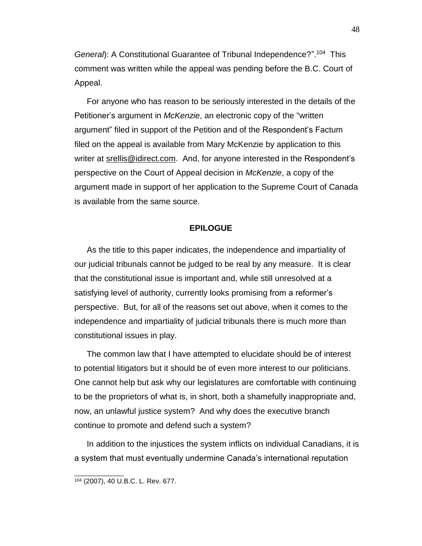General): A Constitutional Guarantee of Tribunal Independence?".<sup>104</sup> This comment was written while the appeal was pending before the B.C. Court of Appeal.

For anyone who has reason to be seriously interested in the details of the Petitioner's argument in *McKenzie*, an electronic copy of the "written argument" filed in support of the Petition and of the Respondent's Factum filed on the appeal is available from Mary McKenzie by application to this writer at srellis @idirect.com. And, for anyone interested in the Respondent's perspective on the Court of Appeal decision in *McKenzie*, a copy of the argument made in support of her application to the Supreme Court of Canada is available from the same source.

### **EPILOGUE**

<span id="page-49-0"></span>As the title to this paper indicates, the independence and impartiality of our judicial tribunals cannot be judged to be real by any measure. It is clear that the constitutional issue is important and, while still unresolved at a satisfying level of authority, currently looks promising from a reformer's perspective. But, for all of the reasons set out above, when it comes to the independence and impartiality of judicial tribunals there is much more than constitutional issues in play.

The common law that I have attempted to elucidate should be of interest to potential litigators but it should be of even more interest to our politicians. One cannot help but ask why our legislatures are comfortable with continuing to be the proprietors of what is, in short, both a shamefully inappropriate and, now, an unlawful justice system? And why does the executive branch continue to promote and defend such a system?

In addition to the injustices the system inflicts on individual Canadians, it is a system that must eventually undermine Canada's international reputation

<sup>104</sup> (2007), 40 U.B.C. L. Rev. 677.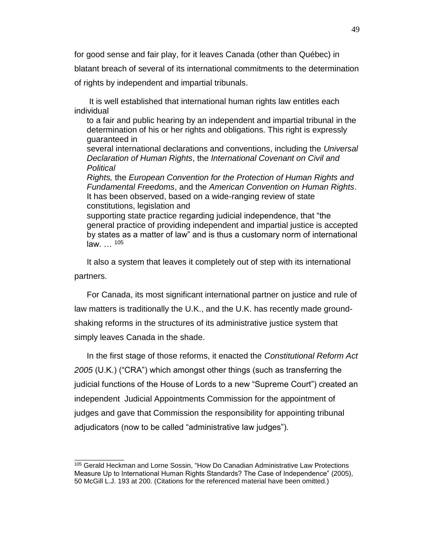for good sense and fair play, for it leaves Canada (other than Québec) in blatant breach of several of its international commitments to the determination of rights by independent and impartial tribunals.

It is well established that international human rights law entitles each individual

to a fair and public hearing by an independent and impartial tribunal in the determination of his or her rights and obligations. This right is expressly guaranteed in

several international declarations and conventions, including the *Universal Declaration of Human Rights*, the *International Covenant on Civil and Political*

*Rights,* the *European Convention for the Protection of Human Rights and Fundamental Freedoms*, and the *American Convention on Human Rights*. It has been observed, based on a wide-ranging review of state constitutions, legislation and

supporting state practice regarding judicial independence, that "the general practice of providing independent and impartial justice is accepted by states as a matter of law" and is thus a customary norm of international law. … <sup>105</sup>

It also a system that leaves it completely out of step with its international partners.

For Canada, its most significant international partner on justice and rule of law matters is traditionally the U.K., and the U.K. has recently made groundshaking reforms in the structures of its administrative justice system that simply leaves Canada in the shade.

In the first stage of those reforms, it enacted the *Constitutional Reform Act 2005* (U.K.) ("CRA") which amongst other things (such as transferring the judicial functions of the House of Lords to a new "Supreme Court") created an independent Judicial Appointments Commission for the appointment of judges and gave that Commission the responsibility for appointing tribunal adjudicators (now to be called "administrative law judges").

<sup>105</sup> Gerald Heckman and Lorne Sossin, "How Do Canadian Administrative Law Protections Measure Up to International Human Rights Standards? The Case of Independence" (2005), 50 McGill L.J. 193 at 200. (Citations for the referenced material have been omitted.)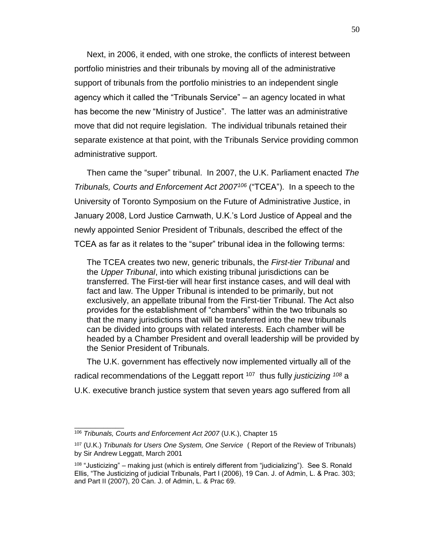Next, in 2006, it ended, with one stroke, the conflicts of interest between portfolio ministries and their tribunals by moving all of the administrative support of tribunals from the portfolio ministries to an independent single agency which it called the "Tribunals Service" – an agency located in what has become the new "Ministry of Justice". The latter was an administrative move that did not require legislation. The individual tribunals retained their separate existence at that point, with the Tribunals Service providing common administrative support.

Then came the "super" tribunal. In 2007, the U.K. Parliament enacted *The Tribunals, Courts and Enforcement Act 2007<sup>106</sup>* ("TCEA"). In a speech to the University of Toronto Symposium on the Future of Administrative Justice, in January 2008, Lord Justice Carnwath, U.K.'s Lord Justice of Appeal and the newly appointed Senior President of Tribunals, described the effect of the TCEA as far as it relates to the "super" tribunal idea in the following terms:

The TCEA creates two new, generic tribunals, the *First-tier Tribunal* and the *Upper Tribunal*, into which existing tribunal jurisdictions can be transferred. The First-tier will hear first instance cases, and will deal with fact and law. The Upper Tribunal is intended to be primarily, but not exclusively, an appellate tribunal from the First-tier Tribunal. The Act also provides for the establishment of "chambers" within the two tribunals so that the many jurisdictions that will be transferred into the new tribunals can be divided into groups with related interests. Each chamber will be headed by a Chamber President and overall leadership will be provided by the Senior President of Tribunals.

The U.K. government has effectively now implemented virtually all of the radical recommendations of the Leggatt report <sup>107</sup> thus fully *justicizing <sup>108</sup>* a U.K. executive branch justice system that seven years ago suffered from all

<sup>106</sup> *Tribunals, Courts and Enforcement Act 2007* (U.K.), Chapter 15

<sup>107</sup> (U.K.) *Tribunals for Users One System, One Service* ( Report of the Review of Tribunals) by Sir Andrew Leggatt, March 2001

 $108$  "Justicizing" – making just (which is entirely different from "judicializing"). See S. Ronald Ellis, "The Justicizing of judicial Tribunals, Part I (2006), 19 Can. J. of Admin, L. & Prac. 303; and Part II (2007), 20 Can. J. of Admin, L. & Prac 69.